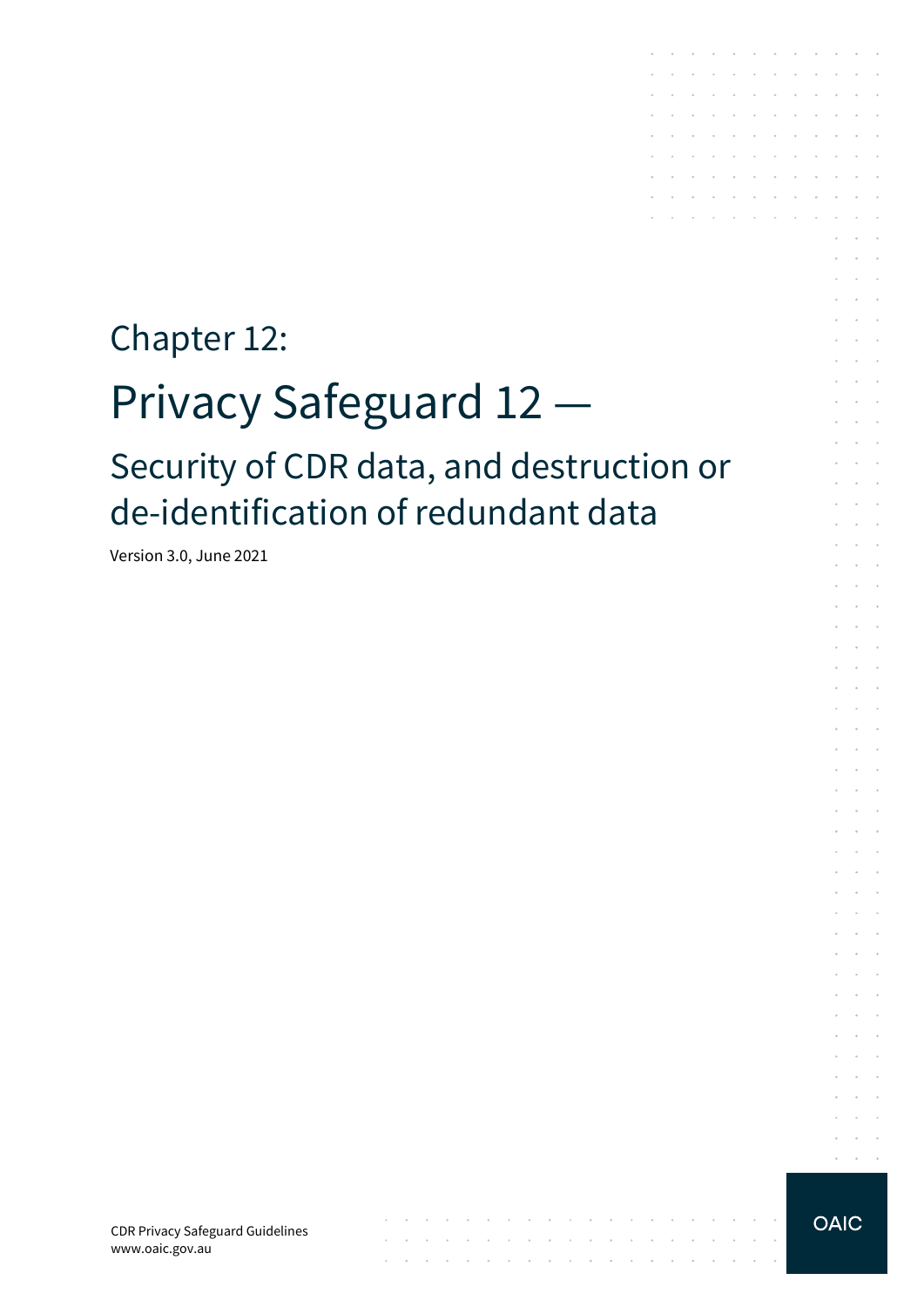# Chapter 12: Privacy Safeguard 12 — Security of CDR data, and destruction or de-identification of redundant data

 $\mathcal{A}$  . The contribution of the contribution of  $\mathcal{A}$ 

the contract of the contract of the contract of the contract of the

 $\mathcal{L}$ 

Version 3.0, June 2021

 $\alpha$  ,  $\beta$  ,  $\beta$  ,  $\beta$ 

the contract of the contract of the conthe contract of the contract of the

the company of the company of

 $\sim$  $\sim 10^{-1}$  .

and the control of

**Service** State

 $\sim$ 

÷  $\mathcal{L}_{\mathcal{A}}$  $\mathbf{r}$ 

 $\mathcal{L}^{\mathcal{A}}$  $\sim$ 

 $\mathcal{L}$  $\sim$  $\epsilon$  $\sim$ 

 $\epsilon$  $\sim$   $\sim$  $\sim$ 

 $\sim$  $\mathcal{L}$  $\overline{\phantom{a}}$  $\sim$   $\sim$ 

 $\sim$  $\sim$   $\sim$  $\sim$ 

 $\mathcal{L}$  $\sim$  $\sim$ 

 $\sim$  $\sim$ 

 $\mathcal{L}$  $\sim$ 

 $\sim$  $\mathcal{L}^{\mathcal{A}}$  $\sim$  $\mathcal{L}$ 

 $\sim$ 

 $\ddot{\phantom{1}}$ 

 $\mathcal{L} = \mathcal{L}$ 

 $\mathcal{L}$ 

 $\sim$  $\sim$ 

 $\mathcal{L}_{\mathcal{A}}$ 

 $\mathcal{L}^{\text{max}}$ 

and a straightful contract and and the company of the company of

the contract of the contract of the con- $\sim$   $\sim$ 

**Service** State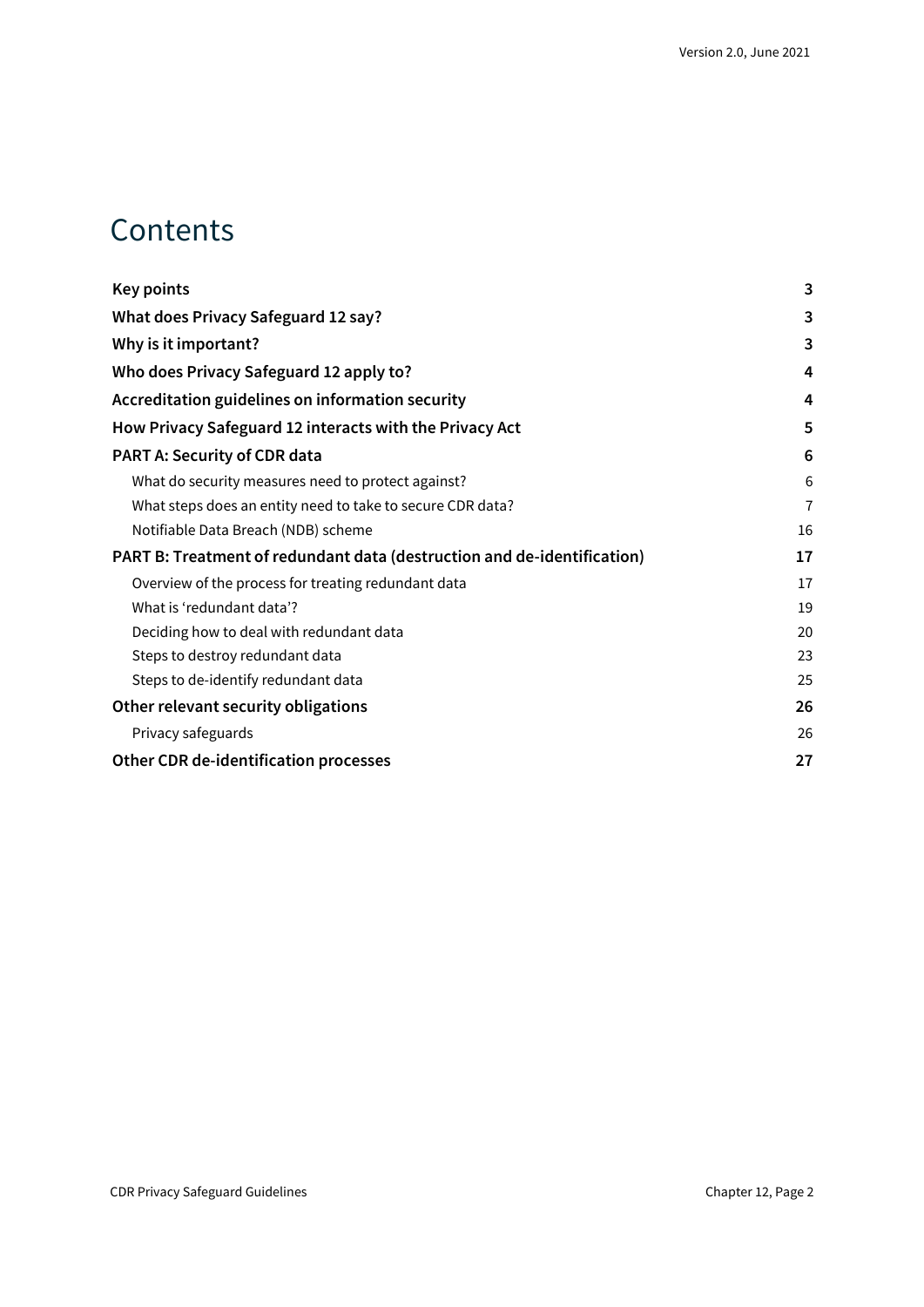## **Contents**

| Key points                                                              | 3              |
|-------------------------------------------------------------------------|----------------|
| What does Privacy Safeguard 12 say?                                     | 3              |
| Why is it important?                                                    | 3              |
| Who does Privacy Safeguard 12 apply to?                                 | 4              |
| Accreditation guidelines on information security                        | 4              |
| How Privacy Safeguard 12 interacts with the Privacy Act                 | 5              |
| <b>PART A: Security of CDR data</b>                                     | 6              |
| What do security measures need to protect against?                      | 6              |
| What steps does an entity need to take to secure CDR data?              | $\overline{1}$ |
| Notifiable Data Breach (NDB) scheme                                     | 16             |
| PART B: Treatment of redundant data (destruction and de-identification) | 17             |
| Overview of the process for treating redundant data                     | 17             |
| What is 'redundant data'?                                               | 19             |
| Deciding how to deal with redundant data                                | 20             |
| Steps to destroy redundant data                                         | 23             |
| Steps to de-identify redundant data                                     | 25             |
| Other relevant security obligations                                     | 26             |
| Privacy safeguards                                                      | 26             |
| Other CDR de-identification processes                                   | 27             |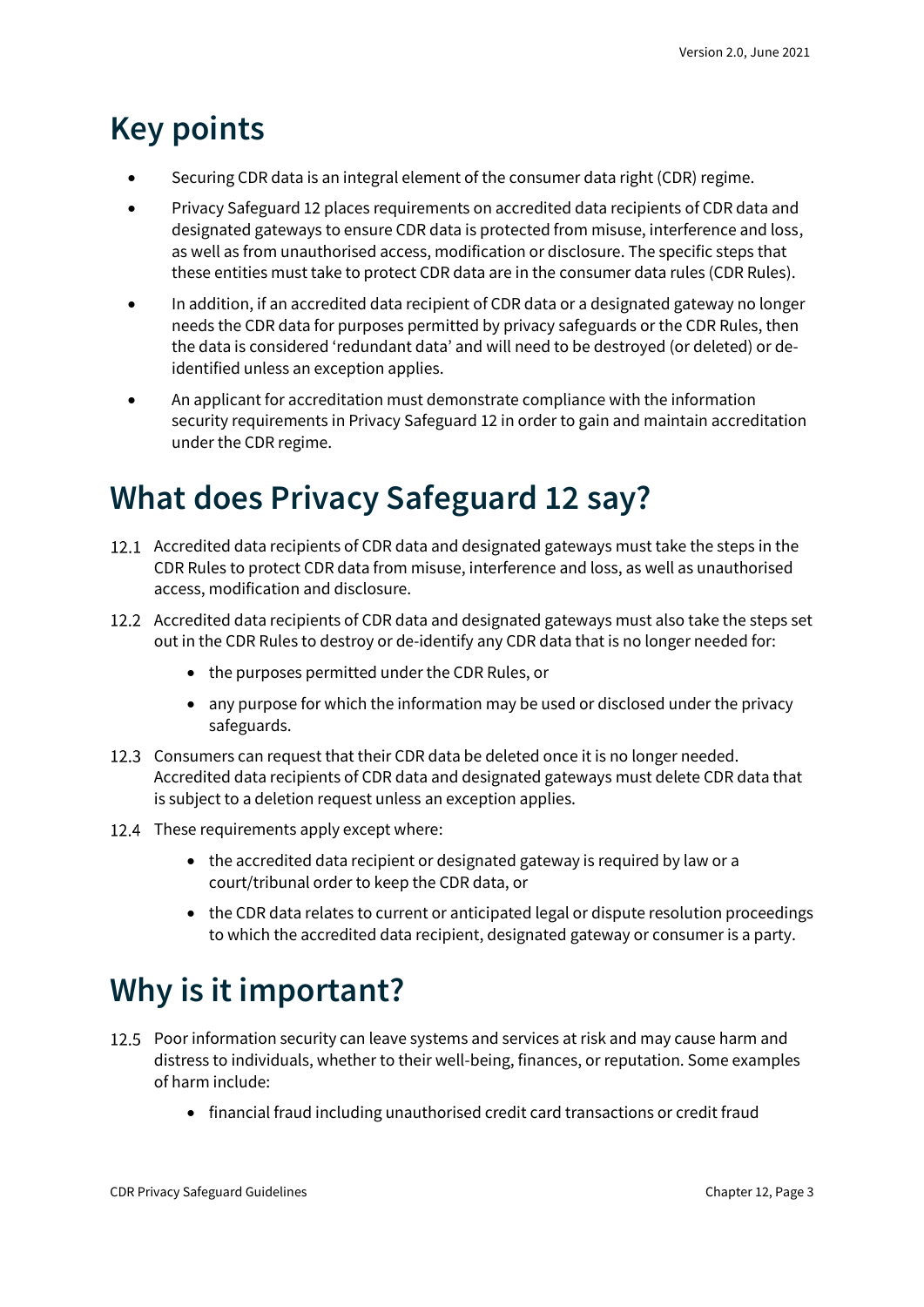## <span id="page-2-0"></span>**Key points**

- Securing CDR data is an integral element of the consumer data right (CDR) regime.
- Privacy Safeguard 12 places requirements on accredited data recipients of CDR data and designated gateways to ensure CDR data is protected from misuse, interference and loss, as well as from unauthorised access, modification or disclosure. The specific steps that these entities must take to protect CDR data are in the consumer data rules (CDR Rules).
- In addition, if an accredited data recipient of CDR data or a designated gateway no longer needs the CDR data for purposes permitted by privacy safeguards or the CDR Rules, then the data is considered 'redundant data' and will need to be destroyed (or deleted) or deidentified unless an exception applies.
- An applicant for accreditation must demonstrate compliance with the information security requirements in Privacy Safeguard 12 in order to gain and maintain accreditation under the CDR regime.

## <span id="page-2-1"></span>**What does Privacy Safeguard 12 say?**

- 12.1 Accredited data recipients of CDR data and designated gateways must take the steps in the CDR Rules to protect CDR data from misuse, interference and loss, as well as unauthorised access, modification and disclosure.
- 12.2 Accredited data recipients of CDR data and designated gateways must also take the steps set out in the CDR Rules to destroy or de-identify any CDR data that is no longer needed for:
	- the purposes permitted under the CDR Rules, or
	- any purpose for which the information may be used or disclosed under the privacy safeguards.
- 12.3 Consumers can request that their CDR data be deleted once it is no longer needed. Accredited data recipients of CDR data and designated gateways must delete CDR data that is subject to a deletion request unless an exception applies.
- 12.4 These requirements apply except where:
	- the accredited data recipient or designated gateway is required by law or a court/tribunal order to keep the CDR data, or
	- the CDR data relates to current or anticipated legal or dispute resolution proceedings to which the accredited data recipient, designated gateway or consumer is a party.

## <span id="page-2-2"></span>**Why is it important?**

- 12.5 Poor information security can leave systems and services at risk and may cause harm and distress to individuals, whether to their well-being, finances, or reputation. Some examples of harm include:
	- financial fraud including unauthorised credit card transactions or credit fraud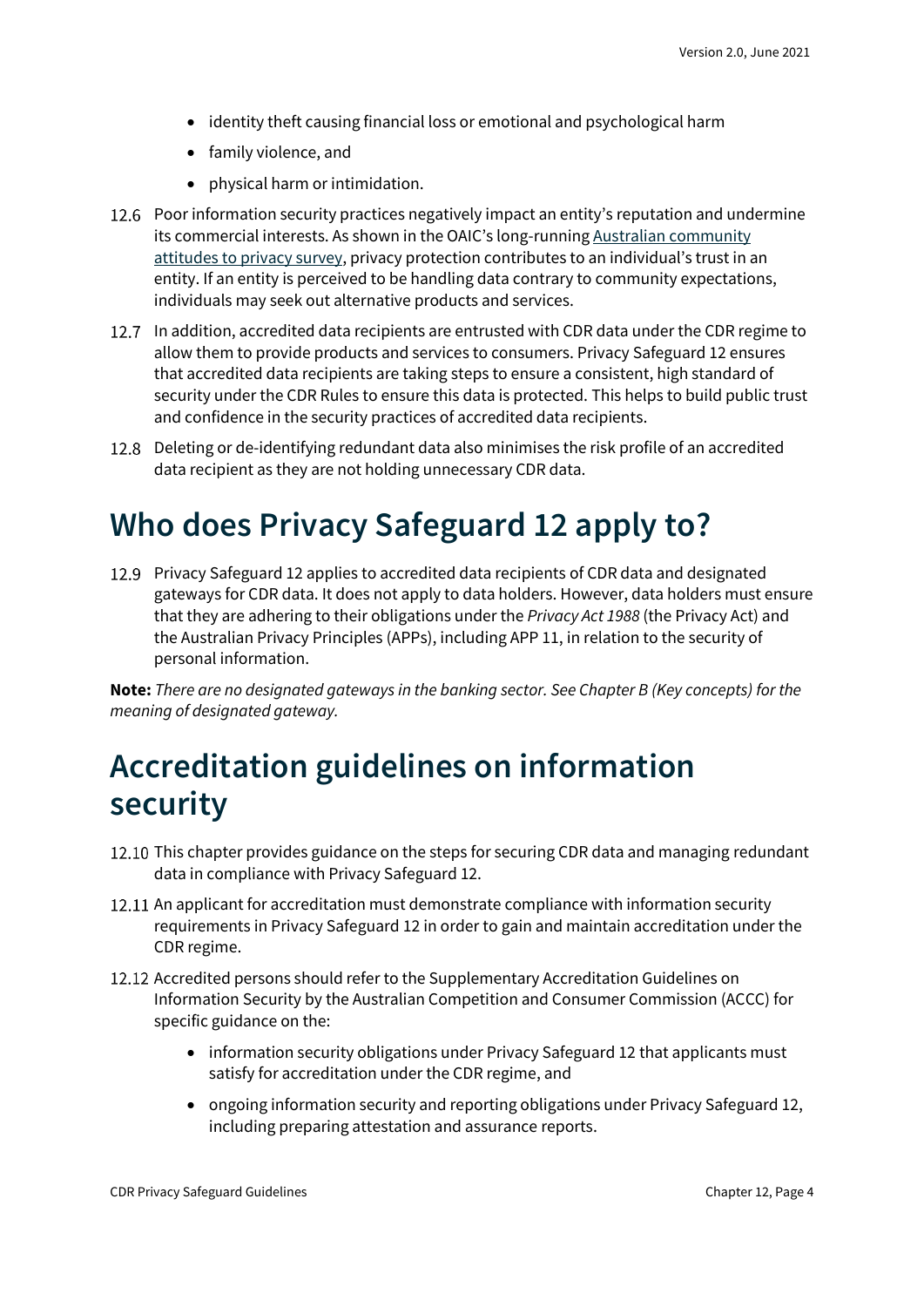- identity theft causing financial loss or emotional and psychological harm
- family violence, and
- physical harm or intimidation.
- 12.6 Poor information security practices negatively impact an entity's reputation and undermine its commercial interests. As shown in the OAIC's long-running Australian community [attitudes to privacy survey](https://www.oaic.gov.au/engage-with-us/community-attitudes/), privacy protection contributes to an individual's trust in an entity. If an entity is perceived to be handling data contrary to community expectations, individuals may seek out alternative products and services.
- 12.7 In addition, accredited data recipients are entrusted with CDR data under the CDR regime to allow them to provide products and services to consumers. Privacy Safeguard 12 ensures that accredited data recipients are taking steps to ensure a consistent, high standard of security under the CDR Rules to ensure this data is protected. This helps to build public trust and confidence in the security practices of accredited data recipients.
- Deleting or de-identifying redundant data also minimises the risk profile of an accredited data recipient as they are not holding unnecessary CDR data.

## <span id="page-3-0"></span>**Who does Privacy Safeguard 12 apply to?**

Privacy Safeguard 12 applies to accredited data recipients of CDR data and designated gateways for CDR data. It does not apply to data holders. However, data holders must ensure that they are adhering to their obligations under the *Privacy Act 1988* (the Privacy Act) and the Australian Privacy Principles (APPs), including APP 11, in relation to the security of personal information.

**Note:** *There are no designated gateways in the banking sector. See Chapter B (Key concepts) for the meaning of designated gateway.*

## <span id="page-3-1"></span>**Accreditation guidelines on information security**

- 12.10 This chapter provides guidance on the steps for securing CDR data and managing redundant data in compliance with Privacy Safeguard 12.
- 12.11 An applicant for accreditation must demonstrate compliance with information security requirements in Privacy Safeguard 12 in order to gain and maintain accreditation under the CDR regime.
- 12.12 Accredited persons should refer to the Supplementary Accreditation Guidelines on Information Security by the Australian Competition and Consumer Commission (ACCC) for specific guidance on the:
	- information security obligations under Privacy Safeguard 12 that applicants must satisfy for accreditation under the CDR regime, and
	- ongoing information security and reporting obligations under Privacy Safeguard 12, including preparing attestation and assurance reports.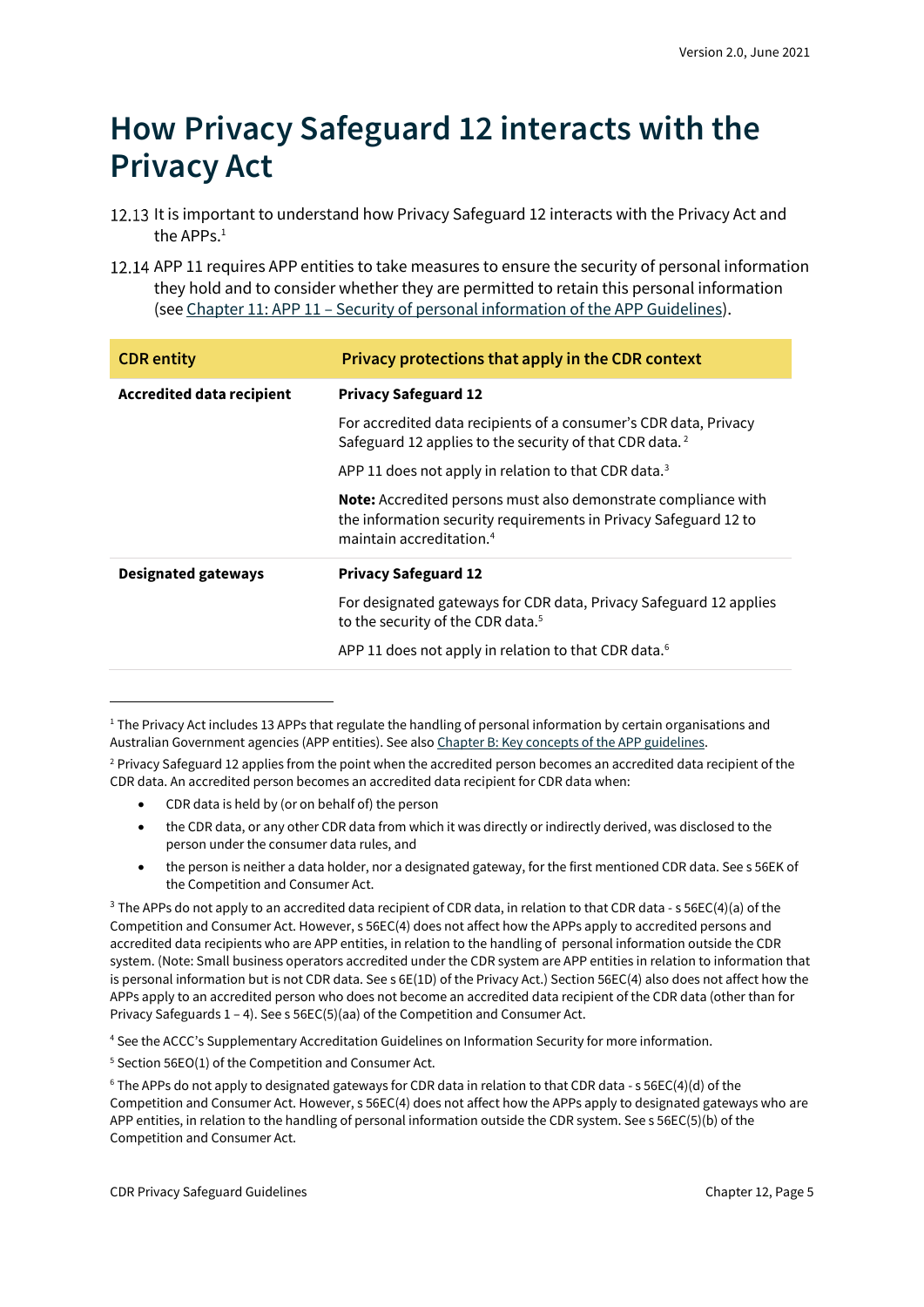## <span id="page-4-0"></span>**How Privacy Safeguard 12 interacts with the Privacy Act**

- 12.13 It is important to understand how Privacy Safeguard 12 interacts with the Privacy Act and the APPs $<sup>1</sup>$ </sup>
- 12.14 APP 11 requires APP entities to take measures to ensure the security of personal information they hold and to consider whether they are permitted to retain this personal information (see Chapter 11: APP 11 – [Security of personal information of the](https://www.oaic.gov.au/privacy/australian-privacy-principles-guidelines/chapter-11-app-11-security-of-personal-information/) APP Guidelines).

| <b>CDR</b> entity                | Privacy protections that apply in the CDR context                                                                                                                          |  |
|----------------------------------|----------------------------------------------------------------------------------------------------------------------------------------------------------------------------|--|
| <b>Accredited data recipient</b> | <b>Privacy Safeguard 12</b>                                                                                                                                                |  |
|                                  | For accredited data recipients of a consumer's CDR data, Privacy<br>Safeguard 12 applies to the security of that CDR data. <sup>2</sup>                                    |  |
|                                  | APP 11 does not apply in relation to that CDR data. <sup>3</sup>                                                                                                           |  |
|                                  | Note: Accredited persons must also demonstrate compliance with<br>the information security requirements in Privacy Safeguard 12 to<br>maintain accreditation. <sup>4</sup> |  |
| Designated gateways              | <b>Privacy Safeguard 12</b>                                                                                                                                                |  |
|                                  | For designated gateways for CDR data, Privacy Safeguard 12 applies<br>to the security of the CDR data. <sup>5</sup>                                                        |  |
|                                  | APP 11 does not apply in relation to that CDR data. <sup>6</sup>                                                                                                           |  |

<sup>&</sup>lt;sup>1</sup> The Privacy Act includes 13 APPs that regulate the handling of personal information by certain organisations and Australian Government agencies (APP entities). See also [Chapter B: Key concepts of the APP guidelines.](https://www.oaic.gov.au/privacy/australian-privacy-principles-guidelines/chapter-b-key-concepts/)

- CDR data is held by (or on behalf of) the person
- the CDR data, or any other CDR data from which it was directly or indirectly derived, was disclosed to the person under the consumer data rules, and
- the person is neither a data holder, nor a designated gateway, for the first mentioned CDR data. See s 56EK of the Competition and Consumer Act.

<sup>4</sup> See the ACCC's Supplementary Accreditation Guidelines on Information Security for more information.

<sup>&</sup>lt;sup>2</sup> Privacy Safeguard 12 applies from the point when the accredited person becomes an accredited data recipient of the CDR data. An accredited person becomes an accredited data recipient for CDR data when:

<sup>&</sup>lt;sup>3</sup> The APPs do not apply to an accredited data recipient of CDR data, in relation to that CDR data - s 56EC(4)(a) of the Competition and Consumer Act. However, s 56EC(4) does not affect how the APPs apply to accredited persons and accredited data recipients who are APP entities, in relation to the handling of personal information outside the CDR system. (Note: Small business operators accredited under the CDR system are APP entities in relation to information that is personal information but is not CDR data. See s 6E(1D) of the Privacy Act.) Section 56EC(4) also does not affect how the APPs apply to an accredited person who does not become an accredited data recipient of the CDR data (other than for Privacy Safeguards 1 – 4). See s 56EC(5)(aa) of the Competition and Consumer Act.

<sup>5</sup> Section 56EO(1) of the Competition and Consumer Act.

<sup>6</sup> The APPs do not apply to designated gateways for CDR data in relation to that CDR data - s 56EC(4)(d) of the Competition and Consumer Act. However, s 56EC(4) does not affect how the APPs apply to designated gateways who are APP entities, in relation to the handling of personal information outside the CDR system. See s 56EC(5)(b) of the Competition and Consumer Act.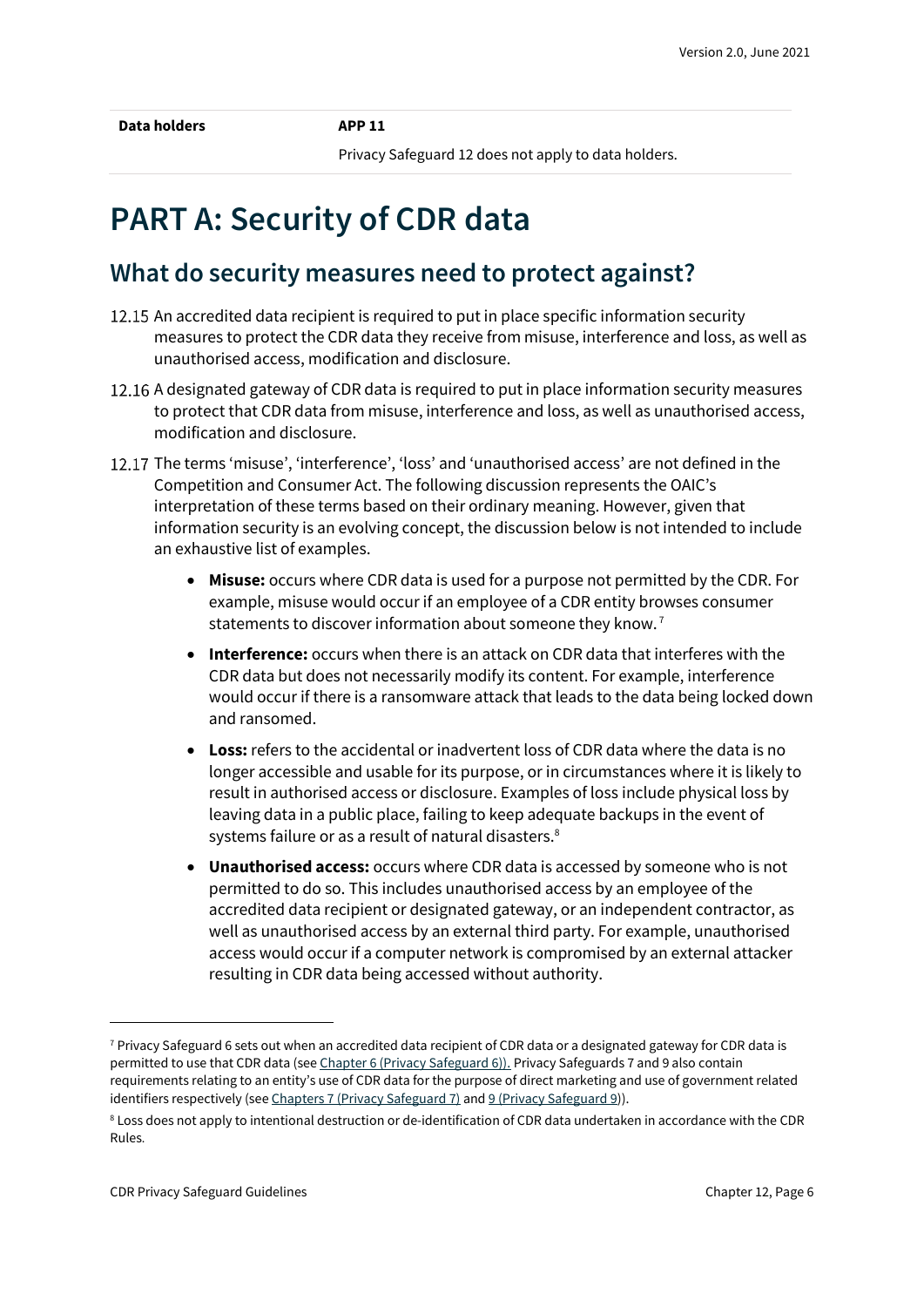Privacy Safeguard 12 does not apply to data holders.

## <span id="page-5-0"></span>**PART A: Security of CDR data**

### <span id="page-5-1"></span>**What do security measures need to protect against?**

- 12.15 An accredited data recipient is required to put in place specific information security measures to protect the CDR data they receive from misuse, interference and loss, as well as unauthorised access, modification and disclosure.
- 12.16 A designated gateway of CDR data is required to put in place information security measures to protect that CDR data from misuse, interference and loss, as well as unauthorised access, modification and disclosure.
- 12.17 The terms 'misuse', 'interference', 'loss' and 'unauthorised access' are not defined in the Competition and Consumer Act. The following discussion represents the OAIC's interpretation of these terms based on their ordinary meaning. However, given that information security is an evolving concept, the discussion below is not intended to include an exhaustive list of examples.
	- **Misuse:** occurs where CDR data is used for a purpose not permitted by the CDR. For example, misuse would occur if an employee of a CDR entity browses consumer statements to discover information about someone they know.<sup>7</sup>
	- **Interference:** occurs when there is an attack on CDR data that interferes with the CDR data but does not necessarily modify its content. For example, interference would occur if there is a ransomware attack that leads to the data being locked down and ransomed.
	- **Loss:** refers to the accidental or inadvertent loss of CDR data where the data is no longer accessible and usable for its purpose, or in circumstances where it is likely to result in authorised access or disclosure. Examples of loss include physical loss by leaving data in a public place, failing to keep adequate backups in the event of systems failure or as a result of natural disasters.<sup>8</sup>
	- **Unauthorised access:** occurs where CDR data is accessed by someone who is not permitted to do so. This includes unauthorised access by an employee of the accredited data recipient or designated gateway, or an independent contractor, as well as unauthorised access by an external third party. For example, unauthorised access would occur if a computer network is compromised by an external attacker resulting in CDR data being accessed without authority.

 $7$  Privacy Safeguard 6 sets out when an accredited data recipient of CDR data or a designated gateway for CDR data is permitted to use that CDR data (se[e Chapter 6 \(Privacy Safeguard 6\)\).](https://www.oaic.gov.au/consumer-data-right/cdr-privacy-safeguard-guidelines/chapter-6-privacy-safeguard-6-use-or-disclosure-of-cdr-data-by-accredited-data-recipients-or-designated-gateways/) Privacy Safeguards 7 and 9 also contain requirements relating to an entity's use of CDR data for the purpose of direct marketing and use of government related identifiers respectively (se[e Chapters 7 \(Privacy Safeguard 7\)](https://www.oaic.gov.au/consumer-data-right/cdr-privacy-safeguard-guidelines/chapter-7-privacy-safeguard-7-use-or-disclosure-of-cdr-data-for-direct-marketing-by-accredited-data-recipients-or-designated-gateways/) an[d 9 \(Privacy Safeguard 9\)](https://www.oaic.gov.au/consumer-data-right/cdr-privacy-safeguard-guidelines/chapter-9-privacy-safeguard-9-adoption-or-disclosure-of-government-related-identifiers-by-accredited-data-recipients/)).

<sup>&</sup>lt;sup>8</sup> Loss does not apply to intentional destruction or de-identification of CDR data undertaken in accordance with the CDR Rules.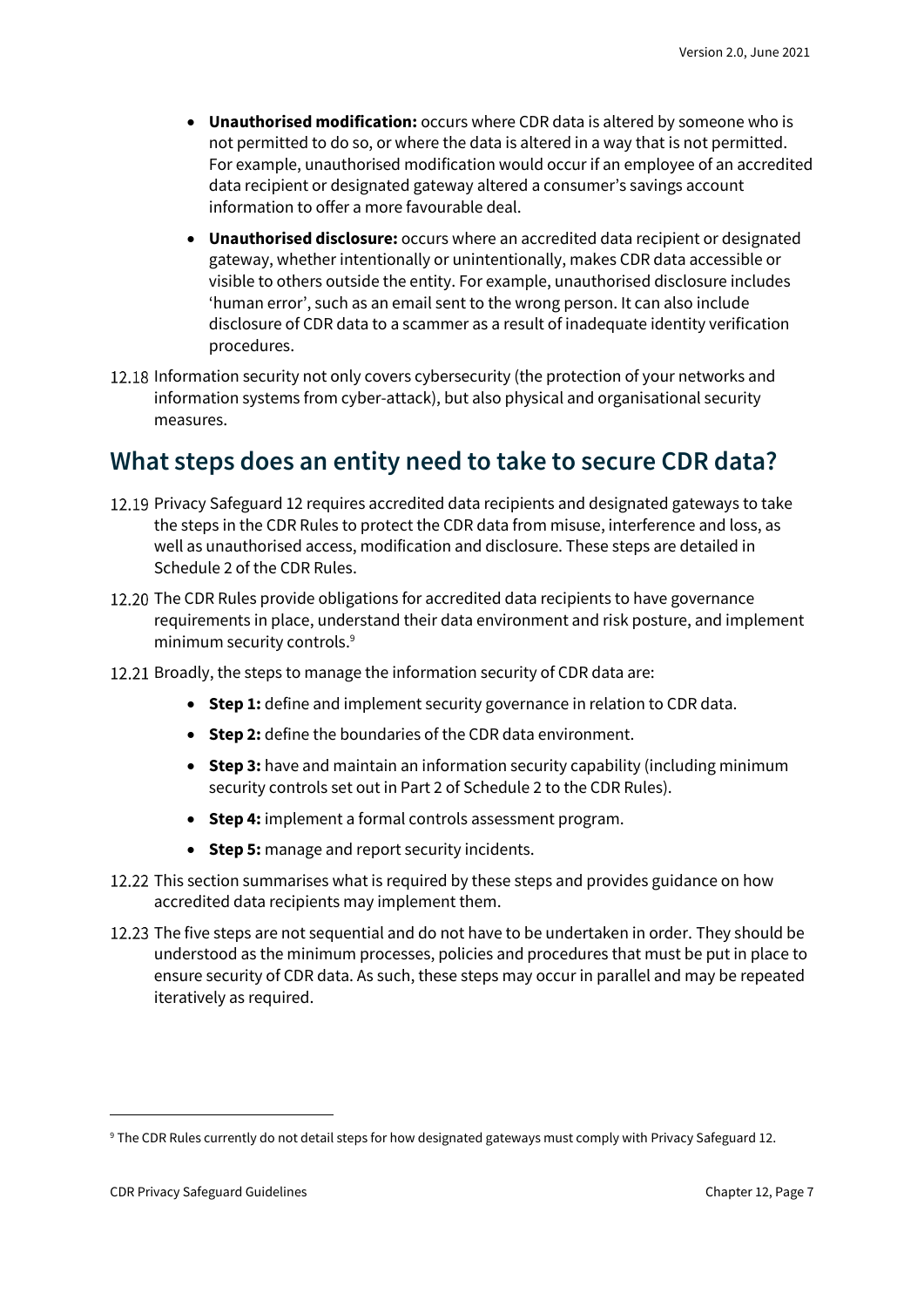- **Unauthorised modification:** occurs where CDR data is altered by someone who is not permitted to do so, or where the data is altered in a way that is not permitted. For example, unauthorised modification would occur if an employee of an accredited data recipient or designated gateway altered a consumer's savings account information to offer a more favourable deal.
- **Unauthorised disclosure:** occurs where an accredited data recipient or designated gateway, whether intentionally or unintentionally, makes CDR data accessible or visible to others outside the entity. For example, unauthorised disclosure includes 'human error', such as an email sent to the wrong person. It can also include disclosure of CDR data to a scammer as a result of inadequate identity verification procedures.
- 12.18 Information security not only covers cybersecurity (the protection of your networks and information systems from cyber-attack), but also physical and organisational security measures.

### <span id="page-6-0"></span>**What steps does an entity need to take to secure CDR data?**

- 12.19 Privacy Safeguard 12 requires accredited data recipients and designated gateways to take the steps in the CDR Rules to protect the CDR data from misuse, interference and loss, as well as unauthorised access, modification and disclosure. These steps are detailed in Schedule 2 of the CDR Rules.
- 12.20 The CDR Rules provide obligations for accredited data recipients to have governance requirements in place, understand their data environment and risk posture, and implement minimum security controls.<sup>9</sup>
- 12.21 Broadly, the steps to manage the information security of CDR data are:
	- **Step 1:** define and implement security governance in relation to CDR data.
	- **Step 2:** define the boundaries of the CDR data environment.
	- **Step 3:** have and maintain an information security capability (including minimum security controls set out in Part 2 of Schedule 2 to the CDR Rules).
	- **Step 4:** implement a formal controls assessment program.
	- **Step 5:** manage and report security incidents.
- 12.22 This section summarises what is required by these steps and provides guidance on how accredited data recipients may implement them.
- 12.23 The five steps are not sequential and do not have to be undertaken in order. They should be understood as the minimum processes, policies and procedures that must be put in place to ensure security of CDR data. As such, these steps may occur in parallel and may be repeated iteratively as required.

<sup>&</sup>lt;sup>9</sup> The CDR Rules currently do not detail steps for how designated gateways must comply with Privacy Safeguard 12.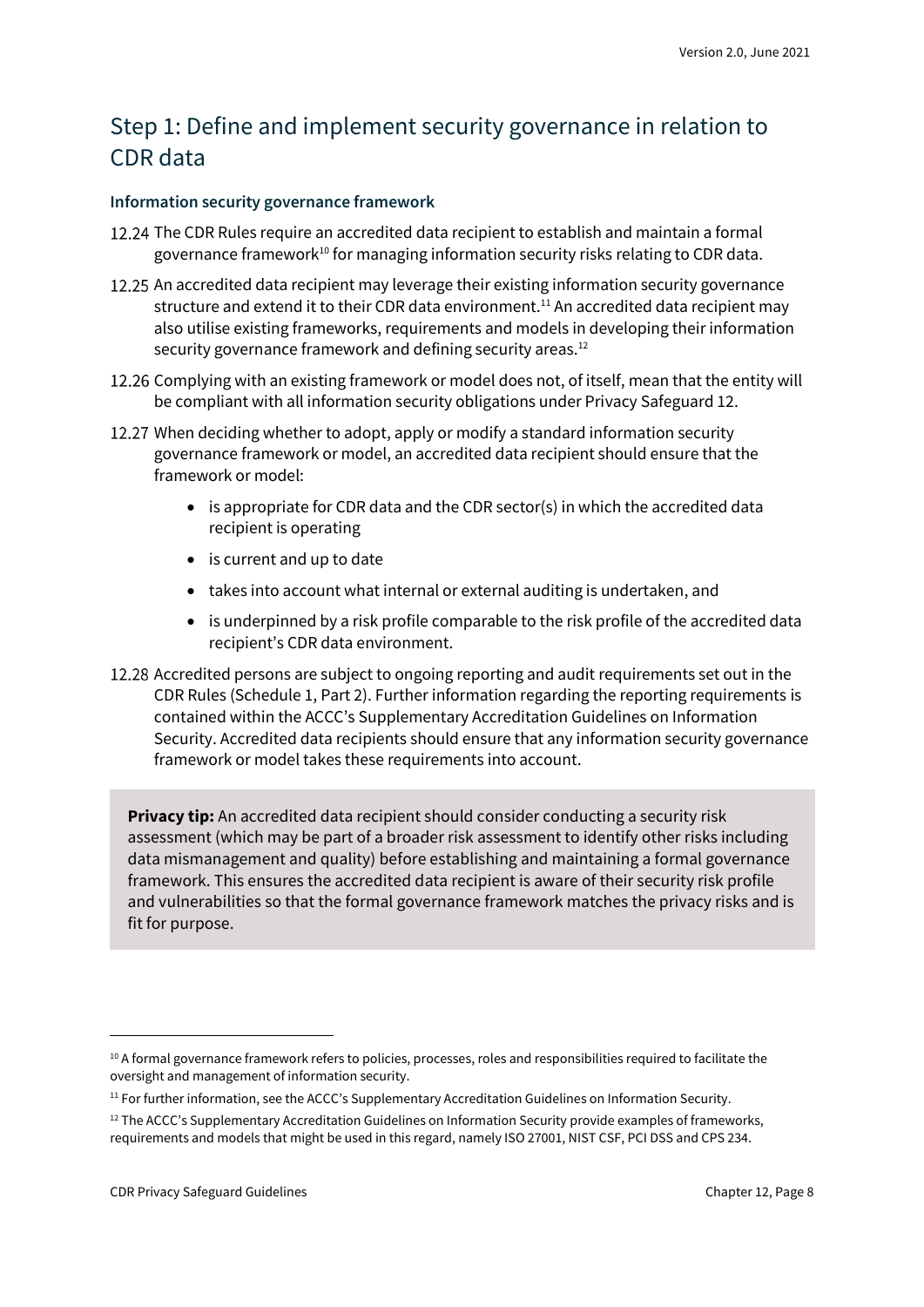### Step 1: Define and implement security governance in relation to CDR data

#### **Information security governance framework**

- 12.24 The CDR Rules require an accredited data recipient to establish and maintain a formal governance framework<sup>10</sup> for managing information security risks relating to CDR data.
- 12.25 An accredited data recipient may leverage their existing information security governance structure and extend it to their CDR data environment.<sup>11</sup> An accredited data recipient may also utilise existing frameworks, requirements and models in developing their information security governance framework and defining security areas.<sup>12</sup>
- 12.26 Complying with an existing framework or model does not, of itself, mean that the entity will be compliant with all information security obligations under Privacy Safeguard 12.
- 12.27 When deciding whether to adopt, apply or modify a standard information security governance framework or model, an accredited data recipient should ensure that the framework or model:
	- is appropriate for CDR data and the CDR sector(s) in which the accredited data recipient is operating
	- is current and up to date
	- takes into account what internal or external auditing is undertaken, and
	- is underpinned by a risk profile comparable to the risk profile of the accredited data recipient's CDR data environment.
- Accredited persons are subject to ongoing reporting and audit requirements set out in the CDR Rules (Schedule 1, Part 2). Further information regarding the reporting requirements is contained within the ACCC's Supplementary Accreditation Guidelines on Information Security. Accredited data recipients should ensure that any information security governance framework or model takes these requirements into account.

**Privacy tip:** An accredited data recipient should consider conducting a security risk assessment (which may be part of a broader risk assessment to identify other risks including data mismanagement and quality) before establishing and maintaining a formal governance framework. This ensures the accredited data recipient is aware of their security risk profile and vulnerabilities so that the formal governance framework matches the privacy risks and is fit for purpose.

<sup>&</sup>lt;sup>10</sup> A formal governance framework refers to policies, processes, roles and responsibilities required to facilitate the oversight and management of information security.

<sup>&</sup>lt;sup>11</sup> For further information, see the ACCC's Supplementary Accreditation Guidelines on Information Security.

<sup>&</sup>lt;sup>12</sup> The ACCC's Supplementary Accreditation Guidelines on Information Security provide examples of frameworks, requirements and models that might be used in this regard, namely ISO 27001, NIST CSF, PCI DSS and CPS 234.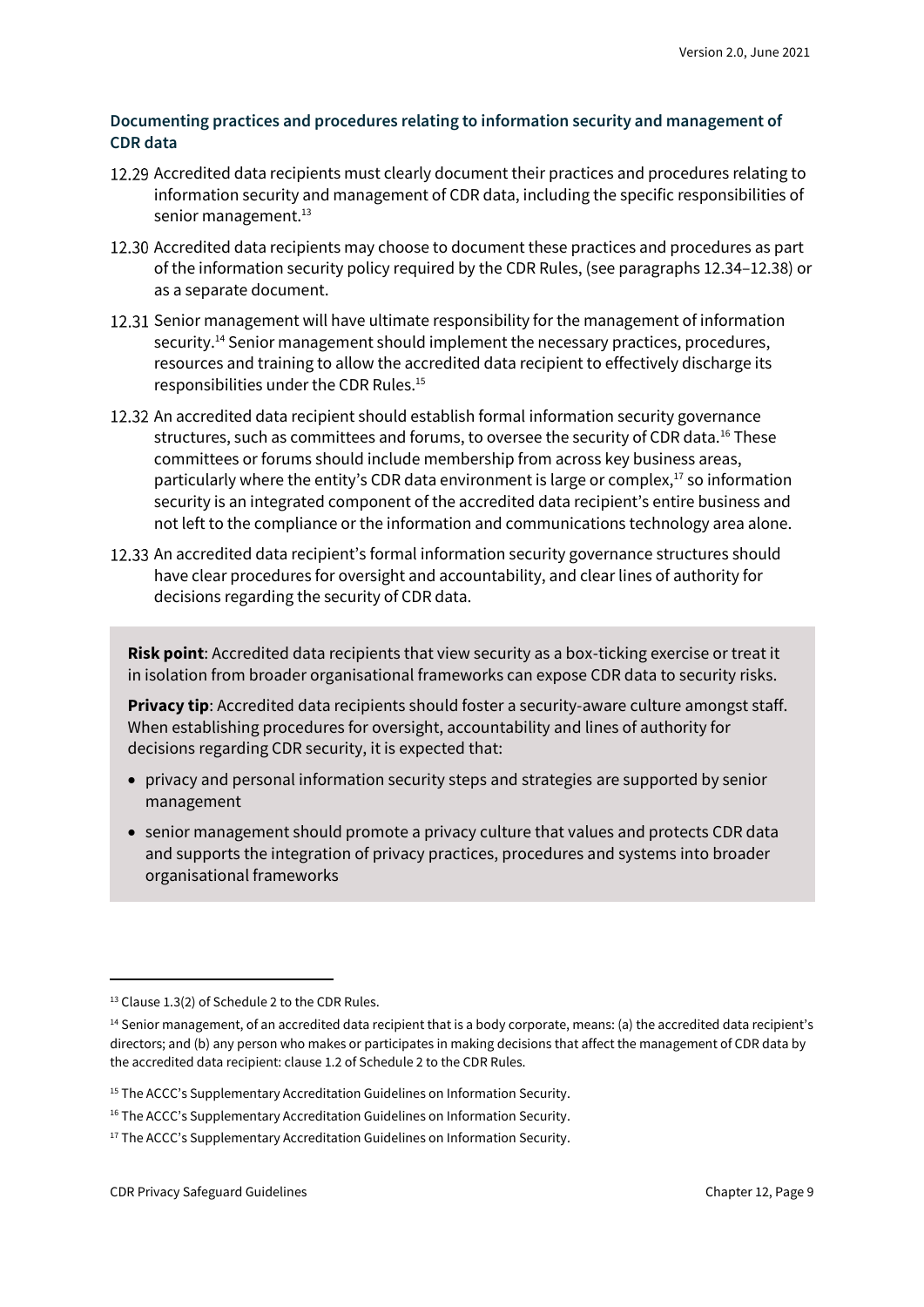#### **Documenting practices and procedures relating to information security and management of CDR data**

- 12.29 Accredited data recipients must clearly document their practices and procedures relating to information security and management of CDR data, including the specific responsibilities of senior management.<sup>13</sup>
- 12.30 Accredited data recipients may choose to document these practices and procedures as part of the information security policy required by the CDR Rules, (see paragraphs 12.34–12.38) or as a separate document.
- 12.31 Senior management will have ultimate responsibility for the management of information security.<sup>14</sup> Senior management should implement the necessary practices, procedures, resources and training to allow the accredited data recipient to effectively discharge its responsibilities under the CDR Rules.<sup>15</sup>
- 12.32 An accredited data recipient should establish formal information security governance structures, such as committees and forums, to oversee the security of CDR data.<sup>16</sup> These committees or forums should include membership from across key business areas, particularly where the entity's CDR data environment is large or complex, $^{17}$  so information security is an integrated component of the accredited data recipient's entire business and not left to the compliance or the information and communications technology area alone.
- 12.33 An accredited data recipient's formal information security governance structures should have clear procedures for oversight and accountability, and clear lines of authority for decisions regarding the security of CDR data.

**Risk point**: Accredited data recipients that view security as a box-ticking exercise or treat it in isolation from broader organisational frameworks can expose CDR data to security risks.

**Privacy tip**: Accredited data recipients should foster a security-aware culture amongst staff. When establishing procedures for oversight, accountability and lines of authority for decisions regarding CDR security, it is expected that:

- privacy and personal information security steps and strategies are supported by senior management
- senior management should promote a privacy culture that values and protects CDR data and supports the integration of privacy practices, procedures and systems into broader organisational frameworks

<sup>&</sup>lt;sup>13</sup> Clause 1.3(2) of Schedule 2 to the CDR Rules.

<sup>&</sup>lt;sup>14</sup> Senior management, of an accredited data recipient that is a body corporate, means: (a) the accredited data recipient's directors; and (b) any person who makes or participates in making decisions that affect the management of CDR data by the accredited data recipient: clause 1.2 of Schedule 2 to the CDR Rules.

<sup>&</sup>lt;sup>15</sup> The ACCC's Supplementary Accreditation Guidelines on Information Security.

<sup>&</sup>lt;sup>16</sup> The ACCC's Supplementary Accreditation Guidelines on Information Security.

<sup>&</sup>lt;sup>17</sup> The ACCC's Supplementary Accreditation Guidelines on Information Security.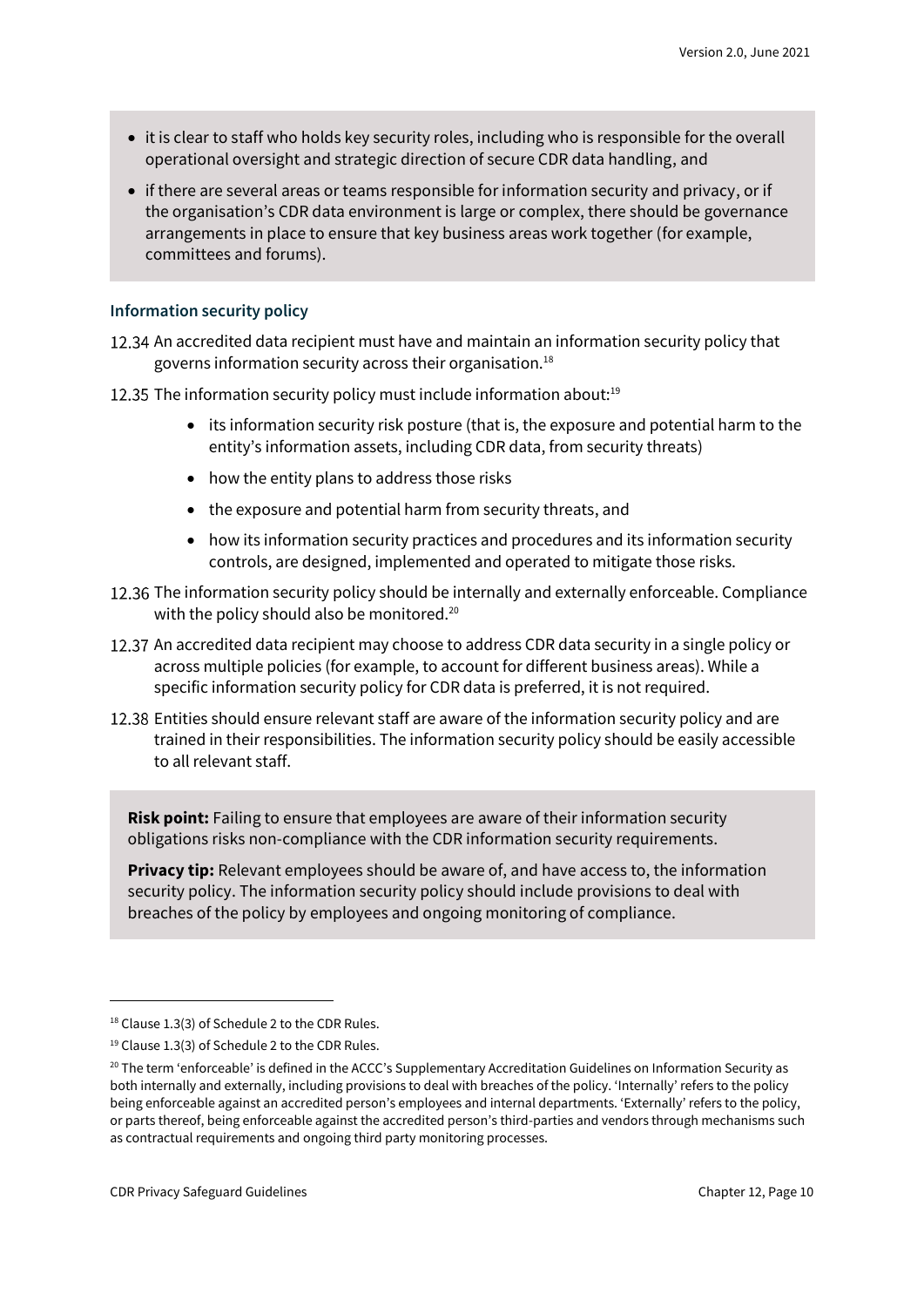- it is clear to staff who holds key security roles, including who is responsible for the overall operational oversight and strategic direction of secure CDR data handling, and
- if there are several areas or teams responsible for information security and privacy, or if the organisation's CDR data environment is large or complex, there should be governance arrangements in place to ensure that key business areas work together (for example, committees and forums).

#### **Information security policy**

- 12.34 An accredited data recipient must have and maintain an information security policy that governs information security across their organisation.<sup>18</sup>
- 12.35 The information security policy must include information about: $19$ 
	- its information security risk posture (that is, the exposure and potential harm to the entity's information assets, including CDR data, from security threats)
	- how the entity plans to address those risks
	- the exposure and potential harm from security threats, and
	- how its information security practices and procedures and its information security controls, are designed, implemented and operated to mitigate those risks.
- 12.36 The information security policy should be internally and externally enforceable. Compliance with the policy should also be monitored.<sup>20</sup>
- 12.37 An accredited data recipient may choose to address CDR data security in a single policy or across multiple policies (for example, to account for different business areas). While a specific information security policy for CDR data is preferred, it is not required.
- 12.38 Entities should ensure relevant staff are aware of the information security policy and are trained in their responsibilities. The information security policy should be easily accessible to all relevant staff.

**Risk point:** Failing to ensure that employees are aware of their information security obligations risks non-compliance with the CDR information security requirements.

**Privacy tip:** Relevant employees should be aware of, and have access to, the information security policy. The information security policy should include provisions to deal with breaches of the policy by employees and ongoing monitoring of compliance.

<sup>&</sup>lt;sup>18</sup> Clause 1.3(3) of Schedule 2 to the CDR Rules.

<sup>&</sup>lt;sup>19</sup> Clause 1.3(3) of Schedule 2 to the CDR Rules.

<sup>&</sup>lt;sup>20</sup> The term 'enforceable' is defined in the ACCC's Supplementary Accreditation Guidelines on Information Security as both internally and externally, including provisions to deal with breaches of the policy. 'Internally' refers to the policy being enforceable against an accredited person's employees and internal departments. 'Externally' refers to the policy, or parts thereof, being enforceable against the accredited person's third-parties and vendors through mechanisms such as contractual requirements and ongoing third party monitoring processes.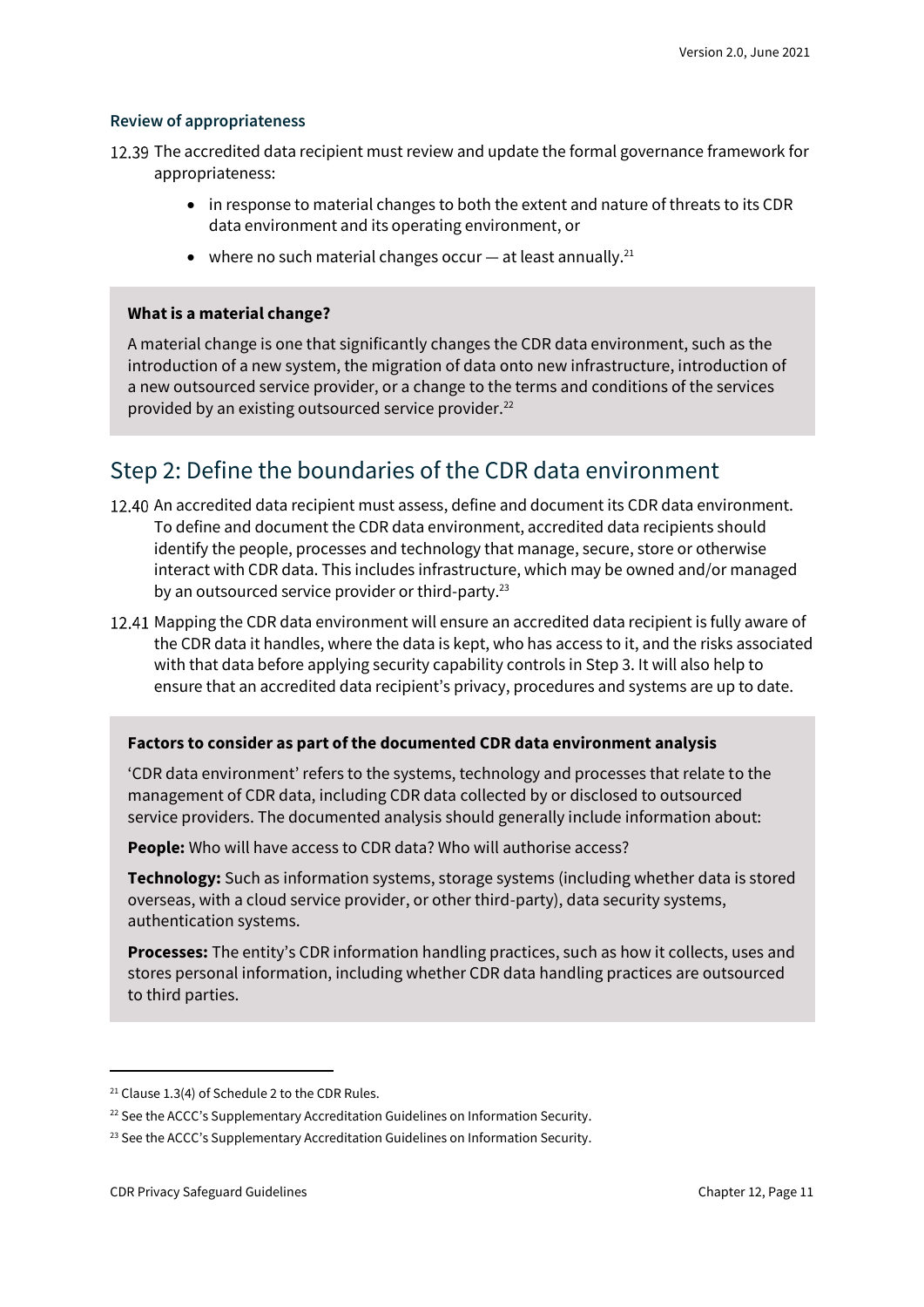#### **Review of appropriateness**

- 12.39 The accredited data recipient must review and update the formal governance framework for appropriateness:
	- in response to material changes to both the extent and nature of threats to its CDR data environment and its operating environment, or
	- where no such material changes occur  $-$  at least annually.<sup>21</sup>

#### **What is a material change?**

A material change is one that significantly changes the CDR data environment, such as the introduction of a new system, the migration of data onto new infrastructure, introduction of a new outsourced service provider, or a change to the terms and conditions of the services provided by an existing outsourced service provider.<sup>22</sup>

### Step 2: Define the boundaries of the CDR data environment

- 12.40 An accredited data recipient must assess, define and document its CDR data environment. To define and document the CDR data environment, accredited data recipients should identify the people, processes and technology that manage, secure, store or otherwise interact with CDR data. This includes infrastructure, which may be owned and/or managed by an outsourced service provider or third-party.<sup>23</sup>
- 12.41 Mapping the CDR data environment will ensure an accredited data recipient is fully aware of the CDR data it handles, where the data is kept, who has access to it, and the risks associated with that data before applying security capability controls in Step 3. It will also help to ensure that an accredited data recipient's privacy, procedures and systems are up to date.

#### **Factors to consider as part of the documented CDR data environment analysis**

'CDR data environment' refers to the systems, technology and processes that relate to the management of CDR data, including CDR data collected by or disclosed to outsourced service providers. The documented analysis should generally include information about:

**People:** Who will have access to CDR data? Who will authorise access?

**Technology:** Such as information systems, storage systems (including whether data is stored overseas, with a cloud service provider, or other third-party), data security systems, authentication systems.

**Processes:** The entity's CDR information handling practices, such as how it collects, uses and stores personal information, including whether CDR data handling practices are outsourced to third parties.

<sup>&</sup>lt;sup>21</sup> Clause 1.3(4) of Schedule 2 to the CDR Rules.

<sup>&</sup>lt;sup>22</sup> See the ACCC's Supplementary Accreditation Guidelines on Information Security.

<sup>&</sup>lt;sup>23</sup> See the ACCC's Supplementary Accreditation Guidelines on Information Security.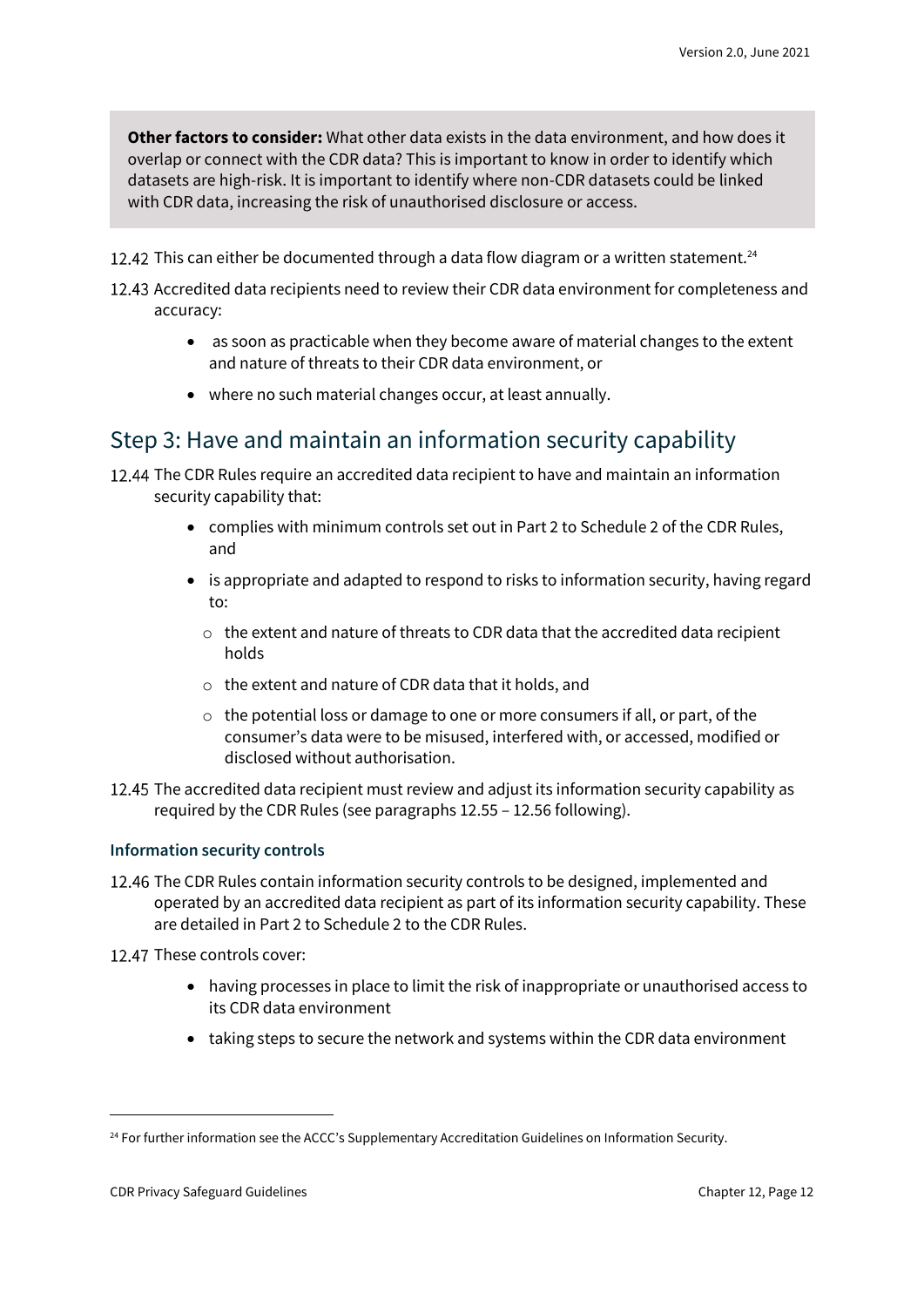**Other factors to consider:** What other data exists in the data environment, and how does it overlap or connect with the CDR data? This is important to know in order to identify which datasets are high-risk. It is important to identify where non-CDR datasets could be linked with CDR data, increasing the risk of unauthorised disclosure or access.

- 12.42 This can either be documented through a data flow diagram or a written statement.<sup>24</sup>
- 12.43 Accredited data recipients need to review their CDR data environment for completeness and accuracy:
	- as soon as practicable when they become aware of material changes to the extent and nature of threats to their CDR data environment, or
	- where no such material changes occur, at least annually.

#### Step 3: Have and maintain an information security capability

12.44 The CDR Rules require an accredited data recipient to have and maintain an information security capability that:

- complies with minimum controls set out in Part 2 to Schedule 2 of the CDR Rules, and
- is appropriate and adapted to respond to risks to information security, having regard to:
	- o the extent and nature of threats to CDR data that the accredited data recipient holds
	- o the extent and nature of CDR data that it holds, and
	- o the potential loss or damage to one or more consumers if all, or part, of the consumer's data were to be misused, interfered with, or accessed, modified or disclosed without authorisation.
- 12.45 The accredited data recipient must review and adjust its information security capability as required by the CDR Rules (see paragraphs 12.55 – 12.56 following).

#### **Information security controls**

- 12.46 The CDR Rules contain information security controls to be designed, implemented and operated by an accredited data recipient as part of its information security capability. These are detailed in Part 2 to Schedule 2 to the CDR Rules.
- 12.47 These controls cover:
	- having processes in place to limit the risk of inappropriate or unauthorised access to its CDR data environment
	- taking steps to secure the network and systems within the CDR data environment

<sup>&</sup>lt;sup>24</sup> For further information see the ACCC's Supplementary Accreditation Guidelines on Information Security.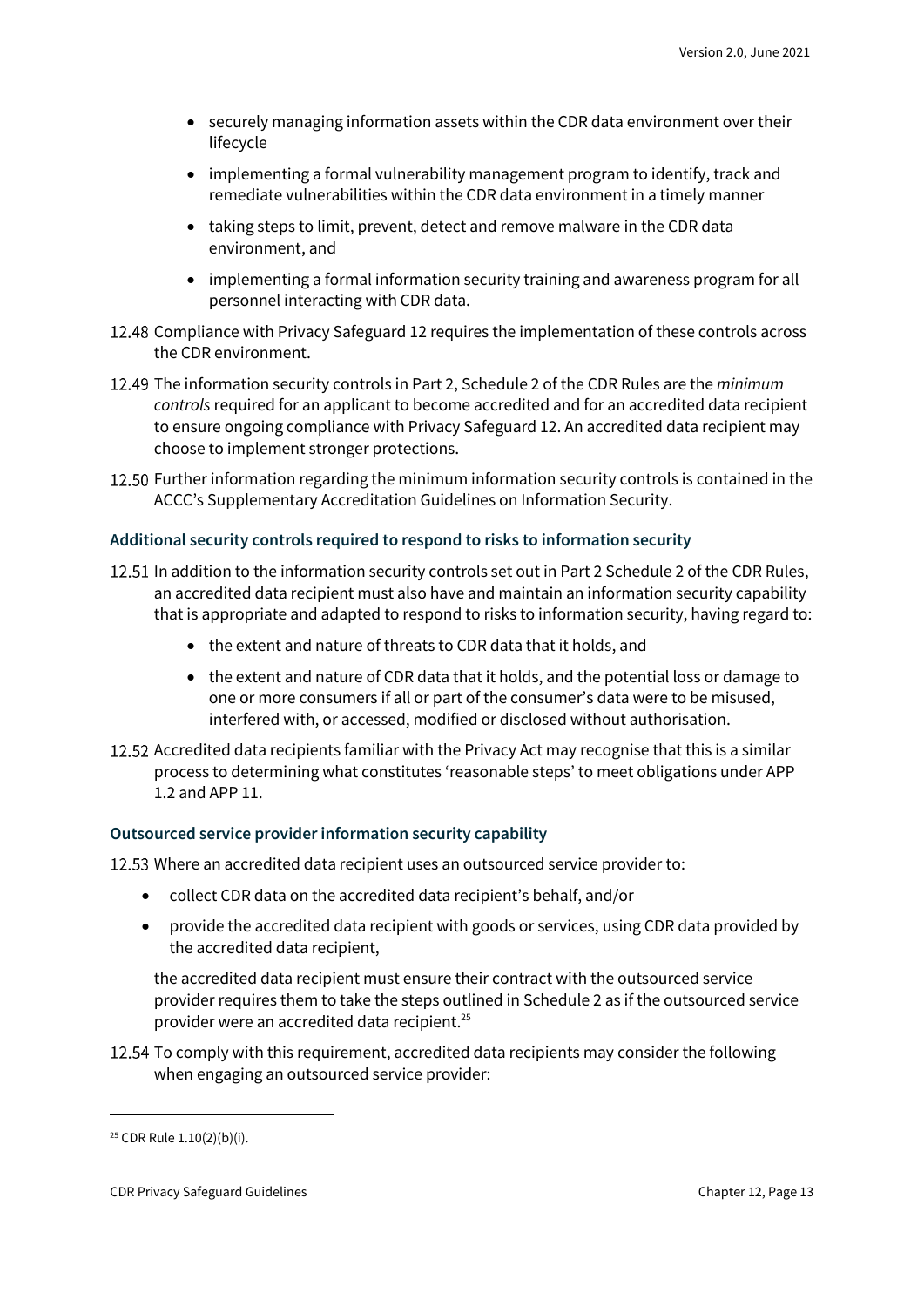- securely managing information assets within the CDR data environment over their lifecycle
- implementing a formal vulnerability management program to identify, track and remediate vulnerabilities within the CDR data environment in a timely manner
- taking steps to limit, prevent, detect and remove malware in the CDR data environment, and
- implementing a formal information security training and awareness program for all personnel interacting with CDR data.
- 12.48 Compliance with Privacy Safeguard 12 requires the implementation of these controls across the CDR environment.
- The information security controls in Part 2, Schedule 2 of the CDR Rules are the *minimum controls* required for an applicant to become accredited and for an accredited data recipient to ensure ongoing compliance with Privacy Safeguard 12. An accredited data recipient may choose to implement stronger protections.
- 12.50 Further information regarding the minimum information security controls is contained in the ACCC's Supplementary Accreditation Guidelines on Information Security.

#### **Additional security controls required to respond to risks to information security**

- 12.51 In addition to the information security controls set out in Part 2 Schedule 2 of the CDR Rules, an accredited data recipient must also have and maintain an information security capability that is appropriate and adapted to respond to risks to information security, having regard to:
	- the extent and nature of threats to CDR data that it holds, and
	- the extent and nature of CDR data that it holds, and the potential loss or damage to one or more consumers if all or part of the consumer's data were to be misused, interfered with, or accessed, modified or disclosed without authorisation.
- 12.52 Accredited data recipients familiar with the Privacy Act may recognise that this is a similar process to determining what constitutes 'reasonable steps' to meet obligations under APP 1.2 and APP 11.

#### **Outsourced service provider information security capability**

12.53 Where an accredited data recipient uses an outsourced service provider to:

- collect CDR data on the accredited data recipient's behalf, and/or
- provide the accredited data recipient with goods or services, using CDR data provided by the accredited data recipient,

the accredited data recipient must ensure their contract with the outsourced service provider requires them to take the steps outlined in Schedule 2 as if the outsourced service provider were an accredited data recipient.<sup>25</sup>

12.54 To comply with this requirement, accredited data recipients may consider the following when engaging an outsourced service provider:

<sup>25</sup> CDR Rule 1.10(2)(b)(i).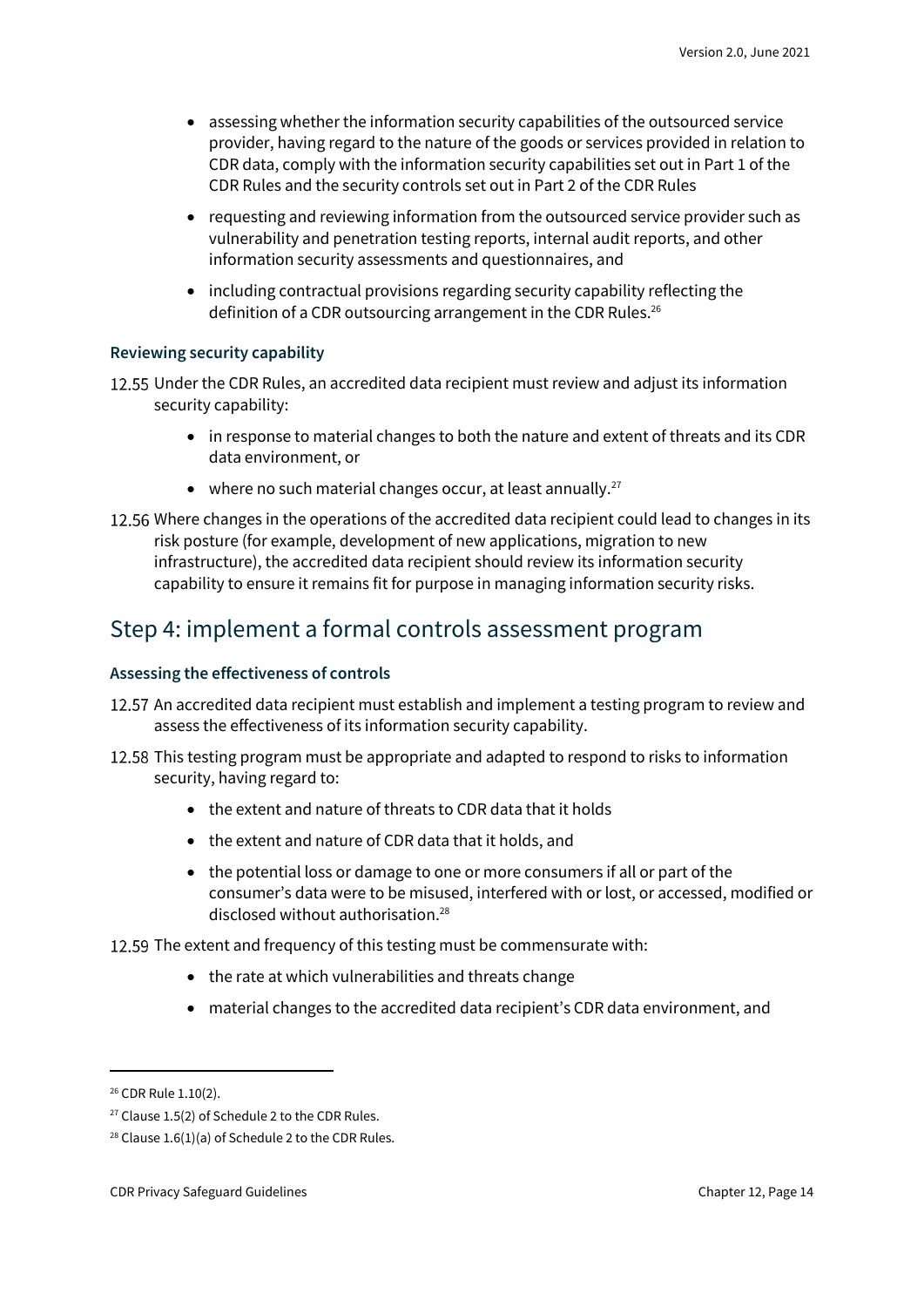- assessing whether the information security capabilities of the outsourced service provider, having regard to the nature of the goods or services provided in relation to CDR data, comply with the information security capabilities set out in Part 1 of the CDR Rules and the security controls set out in Part 2 of the CDR Rules
- requesting and reviewing information from the outsourced service provider such as vulnerability and penetration testing reports, internal audit reports, and other information security assessments and questionnaires, and
- including contractual provisions regarding security capability reflecting the definition of a CDR outsourcing arrangement in the CDR Rules.<sup>26</sup>

#### **Reviewing security capability**

12.55 Under the CDR Rules, an accredited data recipient must review and adjust its information security capability:

- in response to material changes to both the nature and extent of threats and its CDR data environment, or
- where no such material changes occur, at least annually.<sup>27</sup>
- 12.56 Where changes in the operations of the accredited data recipient could lead to changes in its risk posture (for example, development of new applications, migration to new infrastructure), the accredited data recipient should review its information security capability to ensure it remains fit for purpose in managing information security risks.

#### Step 4: implement a formal controls assessment program

#### **Assessing the effectiveness of controls**

- 12.57 An accredited data recipient must establish and implement a testing program to review and assess the effectiveness of its information security capability.
- 12.58 This testing program must be appropriate and adapted to respond to risks to information security, having regard to:
	- the extent and nature of threats to CDR data that it holds
	- the extent and nature of CDR data that it holds, and
	- the potential loss or damage to one or more consumers if all or part of the consumer's data were to be misused, interfered with or lost, or accessed, modified or disclosed without authorisation.<sup>28</sup>
- 12.59 The extent and frequency of this testing must be commensurate with:
	- the rate at which vulnerabilities and threats change
	- material changes to the accredited data recipient's CDR data environment, and

<sup>26</sup> CDR Rule 1.10(2).

 $27$  Clause 1.5(2) of Schedule 2 to the CDR Rules.

<sup>&</sup>lt;sup>28</sup> Clause 1.6(1)(a) of Schedule 2 to the CDR Rules.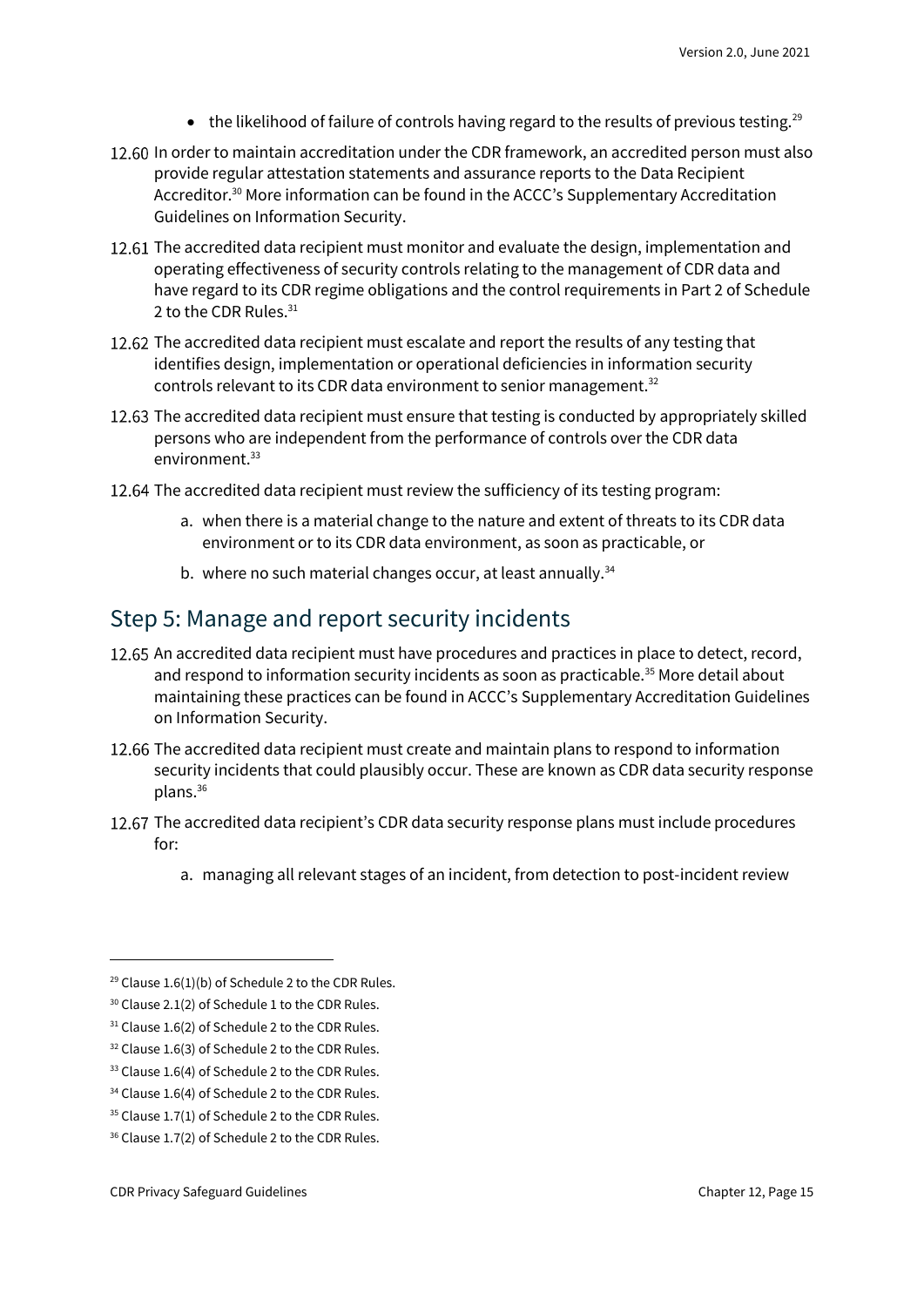- the likelihood of failure of controls having regard to the results of previous testing.<sup>29</sup>
- 12.60 In order to maintain accreditation under the CDR framework, an accredited person must also provide regular attestation statements and assurance reports to the Data Recipient Accreditor.<sup>30</sup> More information can be found in the ACCC's Supplementary Accreditation Guidelines on Information Security.
- 12.61 The accredited data recipient must monitor and evaluate the design, implementation and operating effectiveness of security controls relating to the management of CDR data and have regard to its CDR regime obligations and the control requirements in Part 2 of Schedule 2 to the CDR Rules.<sup>31</sup>
- 12.62 The accredited data recipient must escalate and report the results of any testing that identifies design, implementation or operational deficiencies in information security controls relevant to its CDR data environment to senior management.<sup>32</sup>
- 12.63 The accredited data recipient must ensure that testing is conducted by appropriately skilled persons who are independent from the performance of controls over the CDR data environment.<sup>33</sup>
- 12.64 The accredited data recipient must review the sufficiency of its testing program:
	- a. when there is a material change to the nature and extent of threats to its CDR data environment or to its CDR data environment, as soon as practicable, or
	- b. where no such material changes occur, at least annually.<sup>34</sup>

#### Step 5: Manage and report security incidents

- 12.65 An accredited data recipient must have procedures and practices in place to detect, record, and respond to information security incidents as soon as practicable.<sup>35</sup> More detail about maintaining these practices can be found in ACCC's Supplementary Accreditation Guidelines on Information Security.
- 12.66 The accredited data recipient must create and maintain plans to respond to information security incidents that could plausibly occur. These are known as CDR data security response plans.<sup>36</sup>
- 12.67 The accredited data recipient's CDR data security response plans must include procedures for:
	- a. managing all relevant stages of an incident, from detection to post-incident review

<sup>&</sup>lt;sup>29</sup> Clause 1.6(1)(b) of Schedule 2 to the CDR Rules.

<sup>&</sup>lt;sup>30</sup> Clause 2.1(2) of Schedule 1 to the CDR Rules.

<sup>&</sup>lt;sup>31</sup> Clause 1.6(2) of Schedule 2 to the CDR Rules.

<sup>&</sup>lt;sup>32</sup> Clause 1.6(3) of Schedule 2 to the CDR Rules.

<sup>&</sup>lt;sup>33</sup> Clause 1.6(4) of Schedule 2 to the CDR Rules.

<sup>&</sup>lt;sup>34</sup> Clause 1.6(4) of Schedule 2 to the CDR Rules.

<sup>&</sup>lt;sup>35</sup> Clause 1.7(1) of Schedule 2 to the CDR Rules.

<sup>&</sup>lt;sup>36</sup> Clause 1.7(2) of Schedule 2 to the CDR Rules.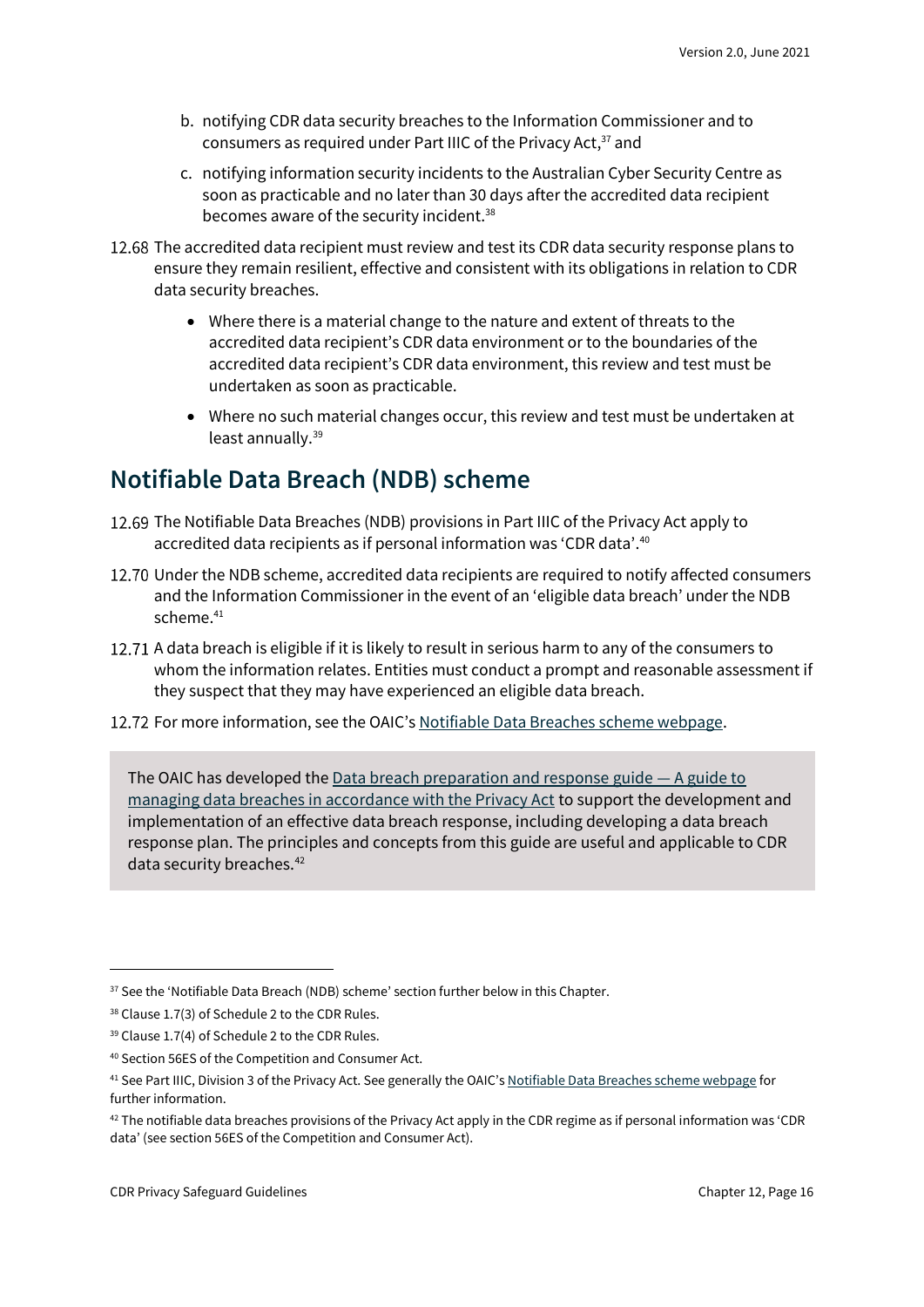- b. notifying CDR data security breaches to the Information Commissioner and to consumers as required under Part IIIC of the Privacy Act,<sup>37</sup> and
- c. notifying information security incidents to the Australian Cyber Security Centre as soon as practicable and no later than 30 days after the accredited data recipient becomes aware of the security incident.<sup>38</sup>
- 12.68 The accredited data recipient must review and test its CDR data security response plans to ensure they remain resilient, effective and consistent with its obligations in relation to CDR data security breaches.
	- Where there is a material change to the nature and extent of threats to the accredited data recipient's CDR data environment or to the boundaries of the accredited data recipient's CDR data environment, this review and test must be undertaken as soon as practicable.
	- Where no such material changes occur, this review and test must be undertaken at least annually. 39

### <span id="page-15-0"></span>**Notifiable Data Breach (NDB) scheme**

- 12.69 The Notifiable Data Breaches (NDB) provisions in Part IIIC of the Privacy Act apply to accredited data recipients as if personal information was 'CDR data'. 40
- Under the NDB scheme, accredited data recipients are required to notify affected consumers and the Information Commissioner in the event of an 'eligible data breach' under the NDB scheme.<sup>41</sup>
- 12.71 A data breach is eligible if it is likely to result in serious harm to any of the consumers to whom the information relates. Entities must conduct a prompt and reasonable assessment if they suspect that they may have experienced an eligible data breach.
- 12.72 For more information, see the OAIC's Notifiable [Data Breaches scheme webpage.](https://www.oaic.gov.au/privacy/notifiable-data-breaches/)

The OAIC has developed the [Data breach preparation and response guide](https://www.oaic.gov.au/privacy/guidance-and-advice/data-breach-preparation-and-response/) — A guide to [managing data breaches in accordance with the Privacy Act](https://www.oaic.gov.au/privacy/guidance-and-advice/data-breach-preparation-and-response/) to support the development and implementation of an effective data breach response, including developing a data breach response plan. The principles and concepts from this guide are useful and applicable to CDR data security breaches.<sup>42</sup>

 $37$  See the 'Notifiable Data Breach (NDB) scheme' section further below in this Chapter.

<sup>38</sup> Clause 1.7(3) of Schedule 2 to the CDR Rules.

<sup>39</sup> Clause 1.7(4) of Schedule 2 to the CDR Rules.

<sup>40</sup> Section 56ES of the Competition and Consumer Act.

<sup>&</sup>lt;sup>41</sup> See Part IIIC, Division 3 of the Privacy Act. See generally the OAIC's [Notifiable Data Breaches scheme webpage](https://www.oaic.gov.au/privacy/notifiable-data-breaches/) for further information.

<sup>42</sup> The notifiable data breaches provisions of the Privacy Act apply in the CDR regime as if personal information was 'CDR data' (see section 56ES of the Competition and Consumer Act).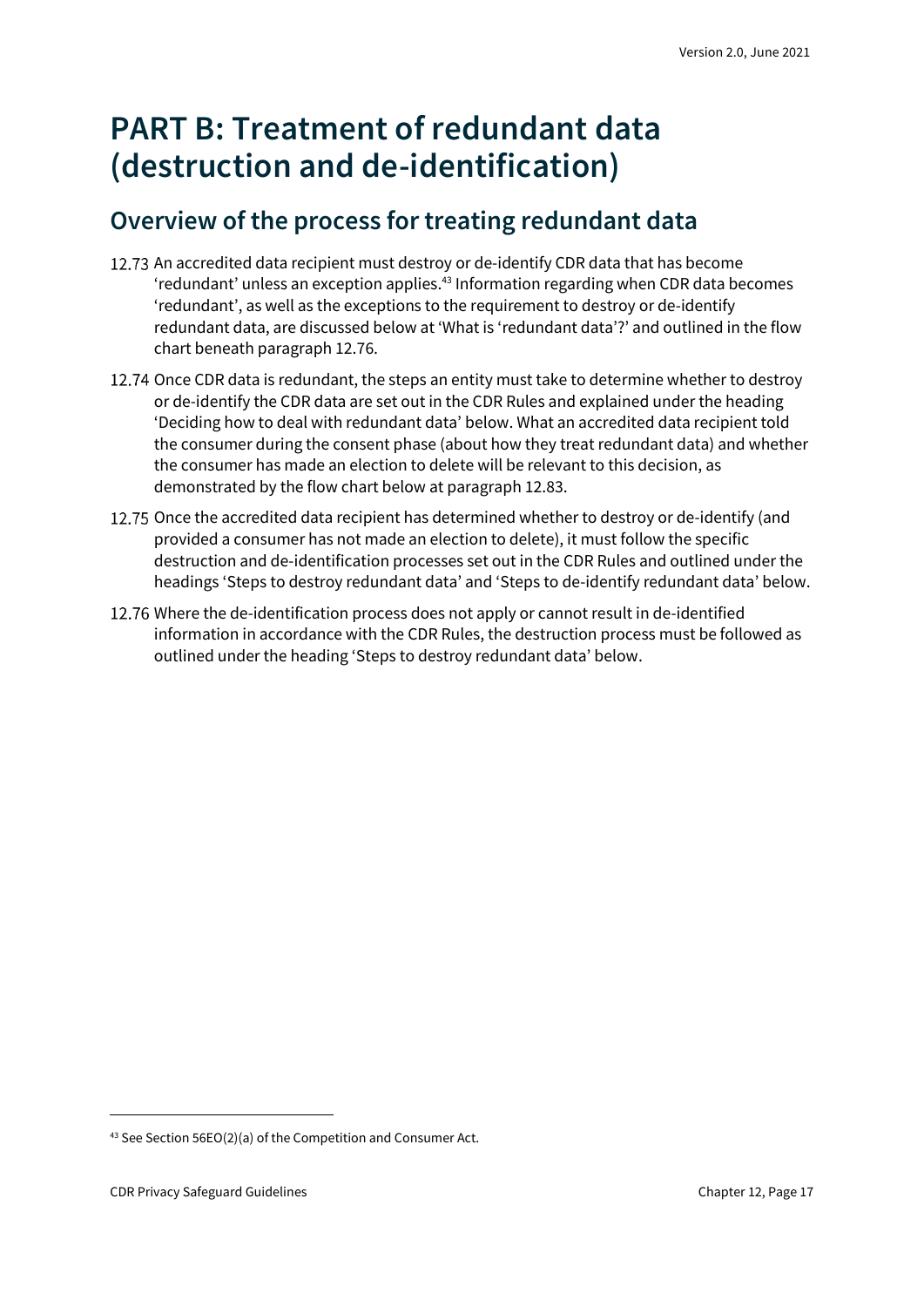## <span id="page-16-0"></span>**PART B: Treatment of redundant data (destruction and de-identification)**

### <span id="page-16-1"></span>**Overview of the process for treating redundant data**

- 12.73 An accredited data recipient must destroy or de-identify CDR data that has become 'redundant' unless an exception applies. <sup>43</sup> Information regarding when CDR data becomes 'redundant', as well as the exceptions to the requirement to destroy or de-identify redundant data, are discussed below at 'What is 'redundant data'?' and outlined in the flow chart beneath paragraph 12.76.
- 12.74 Once CDR data is redundant, the steps an entity must take to determine whether to destroy or de-identify the CDR data are set out in the CDR Rules and explained under the heading 'Deciding how to deal with redundant data' below. What an accredited data recipient told the consumer during the consent phase (about how they treat redundant data) and whether the consumer has made an election to delete will be relevant to this decision, as demonstrated by the flow chart below at paragraph 12.83.
- 12.75 Once the accredited data recipient has determined whether to destroy or de-identify (and provided a consumer has not made an election to delete), it must follow the specific destruction and de-identification processes set out in the CDR Rules and outlined under the headings 'Steps to destroy redundant data' and 'Steps to de-identify redundant data' below.
- 12.76 Where the de-identification process does not apply or cannot result in de-identified information in accordance with the CDR Rules, the destruction process must be followed as outlined under the heading 'Steps to destroy redundant data' below.

<sup>43</sup> See Section 56EO(2)(a) of the Competition and Consumer Act.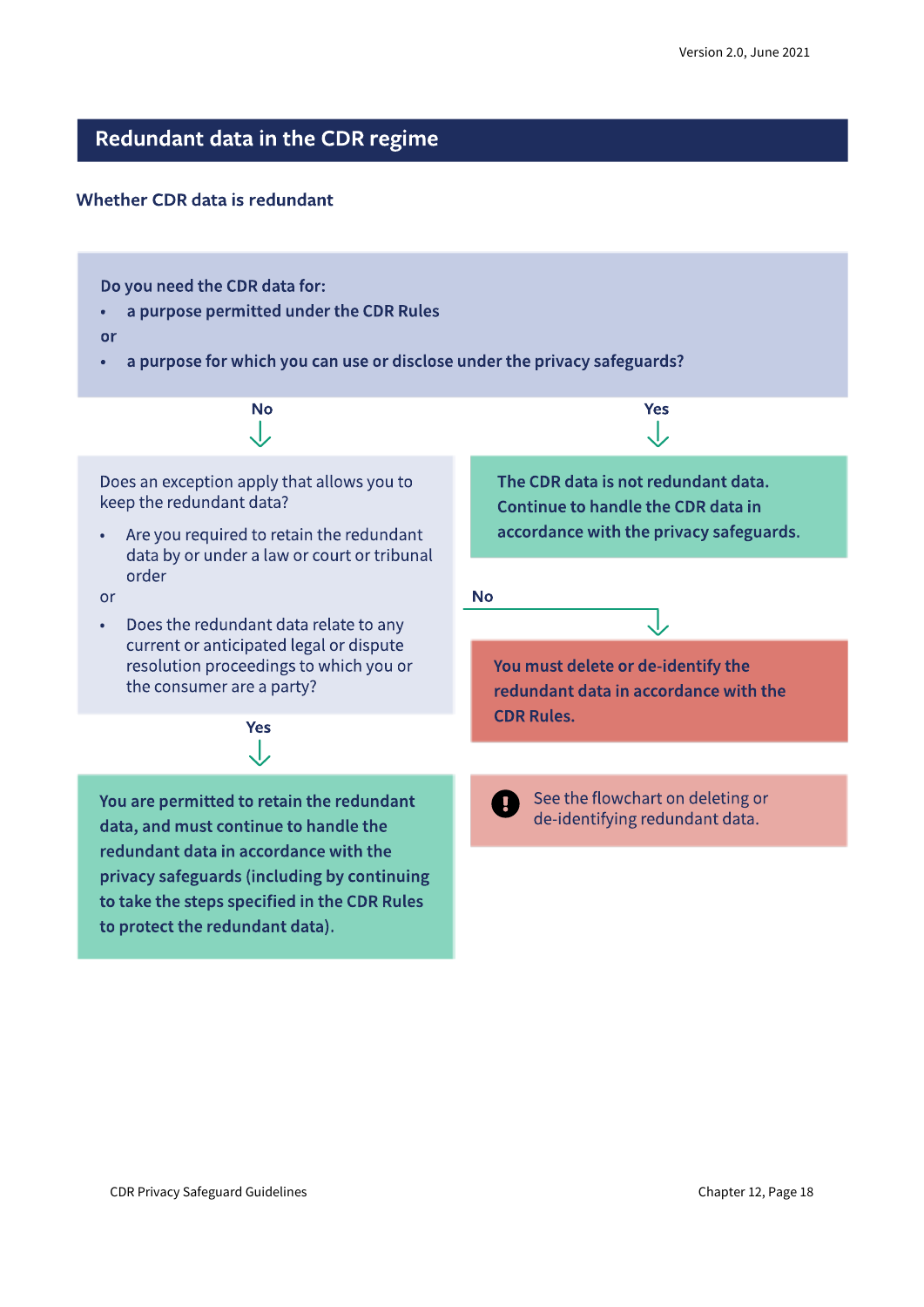### Redundant data in the CDR regime

#### Whether CDR data is redundant

Do you need the CDR data for:

a purpose permitted under the CDR Rules  $\bullet$ 

or

a purpose for which you can use or disclose under the privacy safeguards?  $\bullet$ 

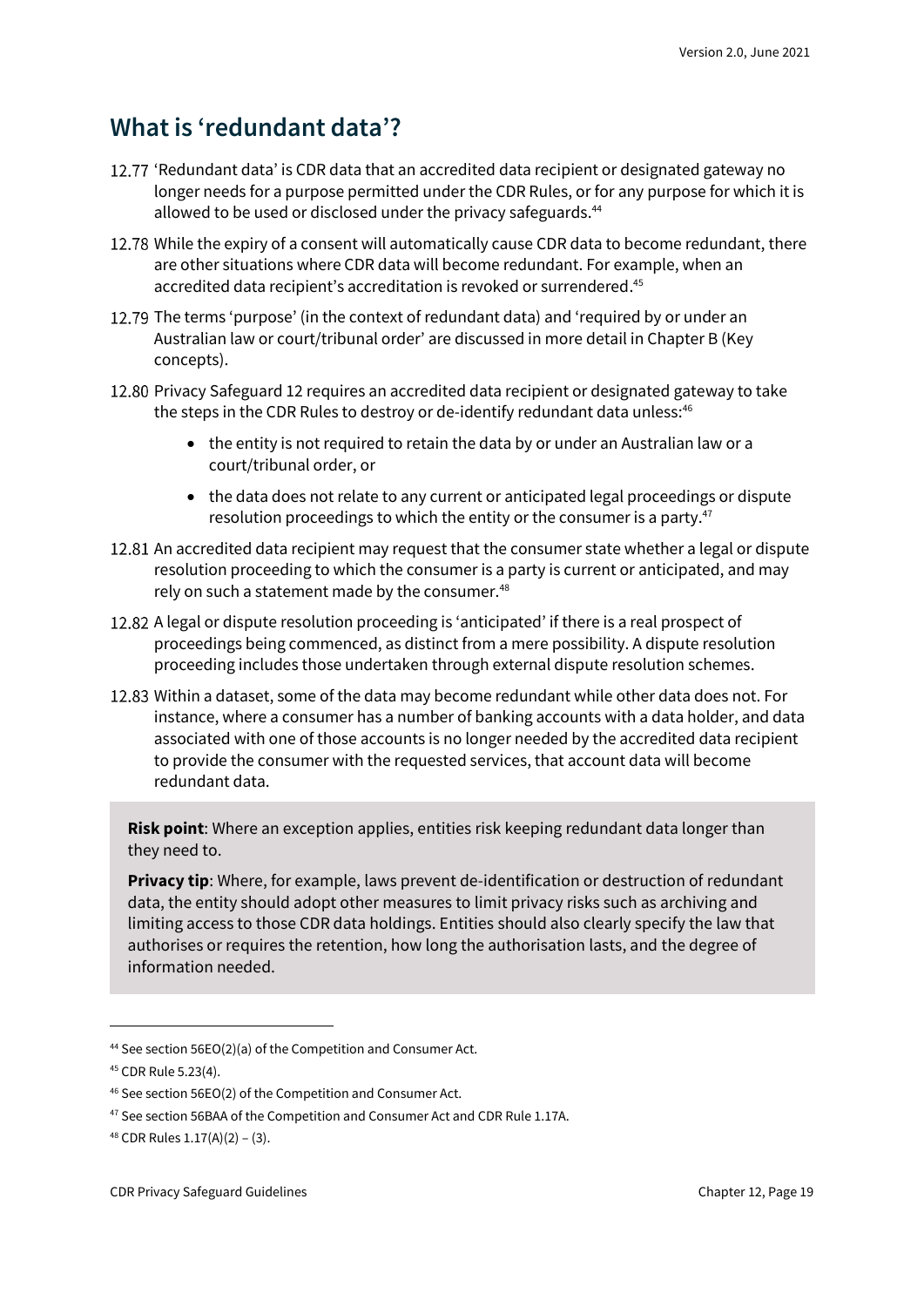### <span id="page-18-0"></span>**What is 'redundant data'?**

- 12.77 'Redundant data' is CDR data that an accredited data recipient or designated gateway no longer needs for a purpose permitted under the CDR Rules, or for any purpose for which it is allowed to be used or disclosed under the privacy safeguards.<sup>44</sup>
- 12.78 While the expiry of a consent will automatically cause CDR data to become redundant, there are other situations where CDR data will become redundant. For example, when an accredited data recipient's accreditation is revoked or surrendered. 45
- 12.79 The terms 'purpose' (in the context of redundant data) and 'required by or under an Australian law or court/tribunal order' are discussed in more detail in Chapter B (Key concepts).
- 12.80 Privacy Safeguard 12 requires an accredited data recipient or designated gateway to take the steps in the CDR Rules to destroy or de-identify redundant data unless:<sup>46</sup>
	- the entity is not required to retain the data by or under an Australian law or a court/tribunal order, or
	- the data does not relate to any current or anticipated legal proceedings or dispute resolution proceedings to which the entity or the consumer is a party.<sup>47</sup>
- 12.81 An accredited data recipient may request that the consumer state whether a legal or dispute resolution proceeding to which the consumer is a party is current or anticipated, and may rely on such a statement made by the consumer.<sup>48</sup>
- A legal or dispute resolution proceeding is 'anticipated' if there is a real prospect of proceedings being commenced, as distinct from a mere possibility. A dispute resolution proceeding includes those undertaken through external dispute resolution schemes.
- 12.83 Within a dataset, some of the data may become redundant while other data does not. For instance, where a consumer has a number of banking accounts with a data holder, and data associated with one of those accounts is no longer needed by the accredited data recipient to provide the consumer with the requested services, that account data will become redundant data.

**Risk point**: Where an exception applies, entities risk keeping redundant data longer than they need to.

**Privacy tip**: Where, for example, laws prevent de-identification or destruction of redundant data, the entity should adopt other measures to limit privacy risks such as archiving and limiting access to those CDR data holdings. Entities should also clearly specify the law that authorises or requires the retention, how long the authorisation lasts, and the degree of information needed.

<sup>44</sup> See section 56EO(2)(a) of the Competition and Consumer Act.

<sup>45</sup> CDR Rule 5.23(4).

<sup>46</sup> See section 56EO(2) of the Competition and Consumer Act.

<sup>&</sup>lt;sup>47</sup> See section 56BAA of the Competition and Consumer Act and CDR Rule 1.17A.

<sup>48</sup> CDR Rules 1.17(A)(2) – (3).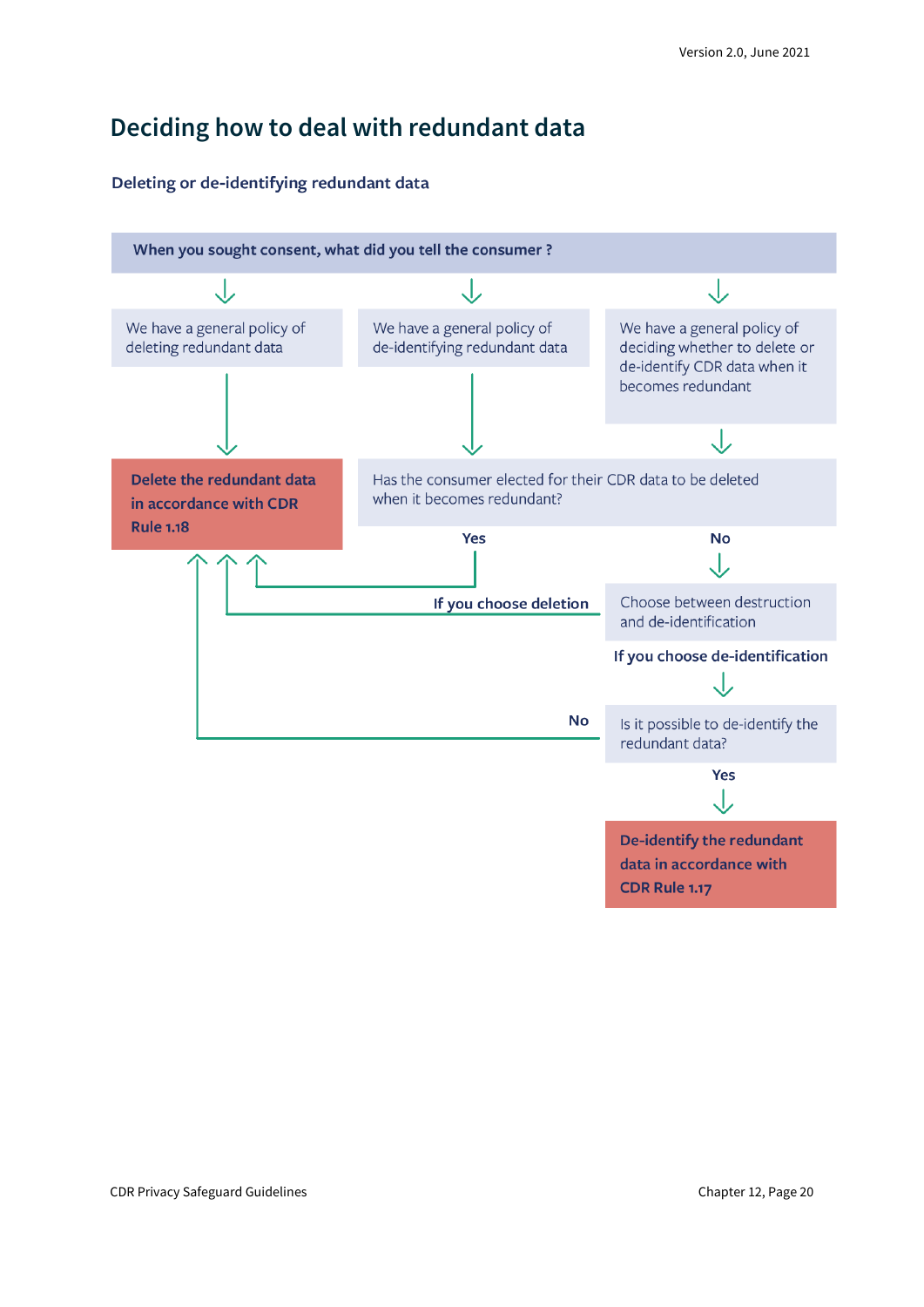### <span id="page-19-0"></span>**Deciding how to deal with redundant data**

#### Deleting or de-identifying redundant data

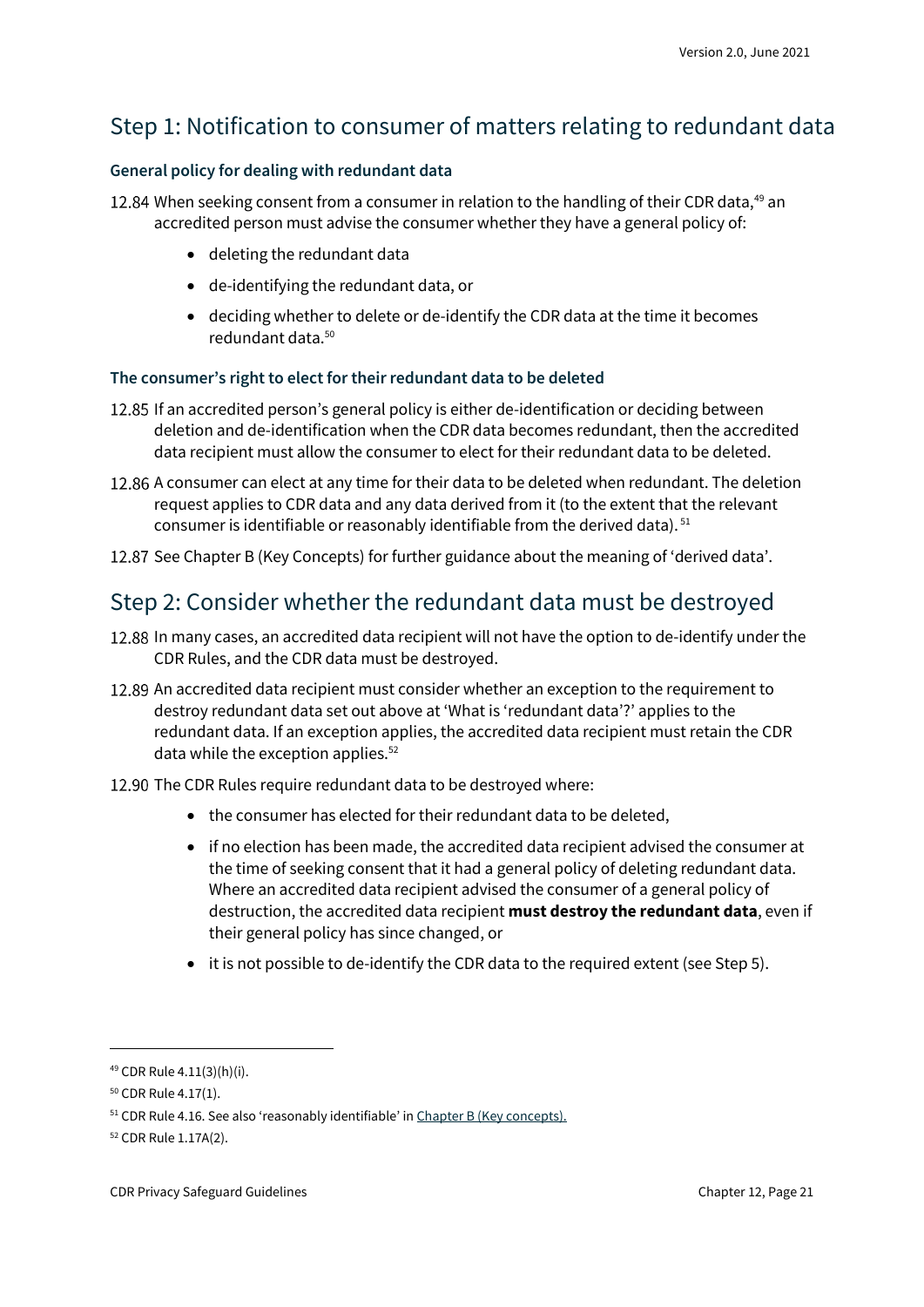### Step 1: Notification to consumer of matters relating to redundant data

#### **General policy for dealing with redundant data**

When seeking consent from a consumer in relation to the handling of their CDR data,<sup>49</sup> an accredited person must advise the consumer whether they have a general policy of:

- deleting the redundant data
- de-identifying the redundant data, or
- deciding whether to delete or de-identify the CDR data at the time it becomes redundant data.<sup>50</sup>

#### **The consumer's right to elect for their redundant data to be deleted**

- 12.85 If an accredited person's general policy is either de-identification or deciding between deletion and de-identification when the CDR data becomes redundant, then the accredited data recipient must allow the consumer to elect for their redundant data to be deleted.
- 12.86 A consumer can elect at any time for their data to be deleted when redundant. The deletion request applies to CDR data and any data derived from it (to the extent that the relevant consumer is identifiable or reasonably identifiable from the derived data). <sup>51</sup>
- 12.87 See Chapter B (Key Concepts) for further guidance about the meaning of 'derived data'.

### Step 2: Consider whether the redundant data must be destroyed

- 12.88 In many cases, an accredited data recipient will not have the option to de-identify under the CDR Rules, and the CDR data must be destroyed.
- 12.89 An accredited data recipient must consider whether an exception to the requirement to destroy redundant data set out above at 'What is 'redundant data'?' applies to the redundant data. If an exception applies, the accredited data recipient must retain the CDR data while the exception applies.<sup>52</sup>
- 12.90 The CDR Rules require redundant data to be destroyed where:
	- the consumer has elected for their redundant data to be deleted,
	- if no election has been made, the accredited data recipient advised the consumer at the time of seeking consent that it had a general policy of deleting redundant data. Where an accredited data recipient advised the consumer of a general policy of destruction, the accredited data recipient **must destroy the redundant data**, even if their general policy has since changed, or
	- it is not possible to de-identify the CDR data to the required extent (see Step 5).

<sup>49</sup> CDR Rule 4.11(3)(h)(i).

<sup>50</sup> CDR Rule 4.17(1).

<sup>&</sup>lt;sup>51</sup> CDR Rule 4.16. See also 'reasonably identifiable' in [Chapter B \(Key concepts\).](https://www.oaic.gov.au/consumer-data-right/cdr-privacy-safeguard-guidelines/chapter-b-key-concepts)

<sup>52</sup> CDR Rule 1.17A(2).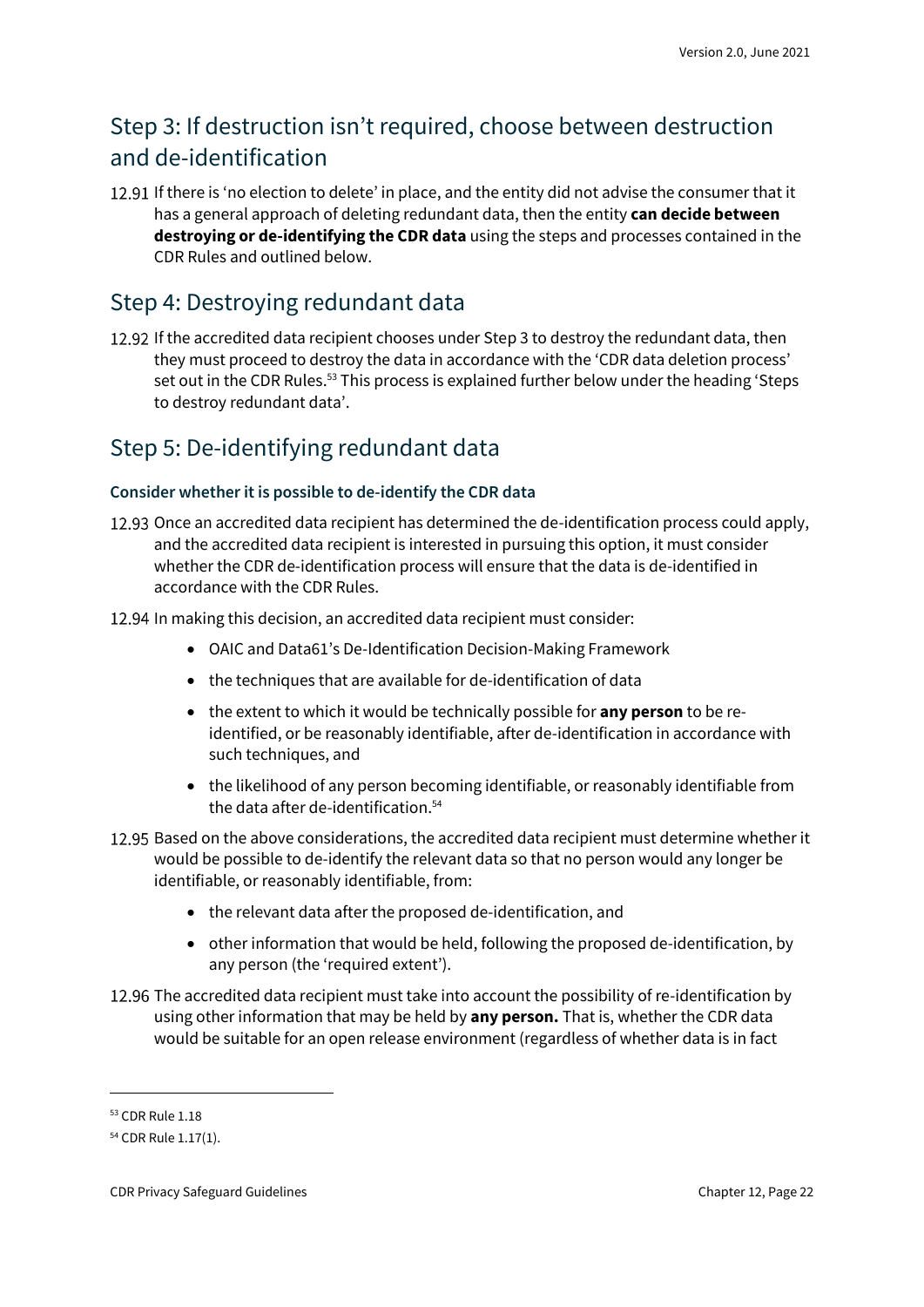### Step 3: If destruction isn't required, choose between destruction and de-identification

If there is 'no election to delete' in place, and the entity did not advise the consumer that it has a general approach of deleting redundant data, then the entity **can decide between destroying or de-identifying the CDR data** using the steps and processes contained in the CDR Rules and outlined below.

### Step 4: Destroying redundant data

12.92 If the accredited data recipient chooses under Step 3 to destroy the redundant data, then they must proceed to destroy the data in accordance with the 'CDR data deletion process' set out in the CDR Rules.<sup>53</sup> This process is explained further below under the heading 'Steps to destroy redundant data'.

### Step 5: De-identifying redundant data

#### **Consider whether it is possible to de-identify the CDR data**

- 12.93 Once an accredited data recipient has determined the de-identification process could apply, and the accredited data recipient is interested in pursuing this option, it must consider whether the CDR de-identification process will ensure that the data is de-identified in accordance with the CDR Rules.
- 12.94 In making this decision, an accredited data recipient must consider:
	- OAIC and Data61's De-Identification Decision-Making Framework
	- the techniques that are available for de-identification of data
	- the extent to which it would be technically possible for **any person** to be reidentified, or be reasonably identifiable, after de-identification in accordance with such techniques, and
	- the likelihood of any person becoming identifiable, or reasonably identifiable from the data after de-identification.<sup>54</sup>
- 12.95 Based on the above considerations, the accredited data recipient must determine whether it would be possible to de-identify the relevant data so that no person would any longer be identifiable, or reasonably identifiable, from:
	- the relevant data after the proposed de-identification, and
	- other information that would be held, following the proposed de-identification, by any person (the 'required extent').
- 12.96 The accredited data recipient must take into account the possibility of re-identification by using other information that may be held by **any person.** That is, whether the CDR data would be suitable for an open release environment (regardless of whether data is in fact

<sup>53</sup> CDR Rule 1.18

<sup>54</sup> CDR Rule 1.17(1).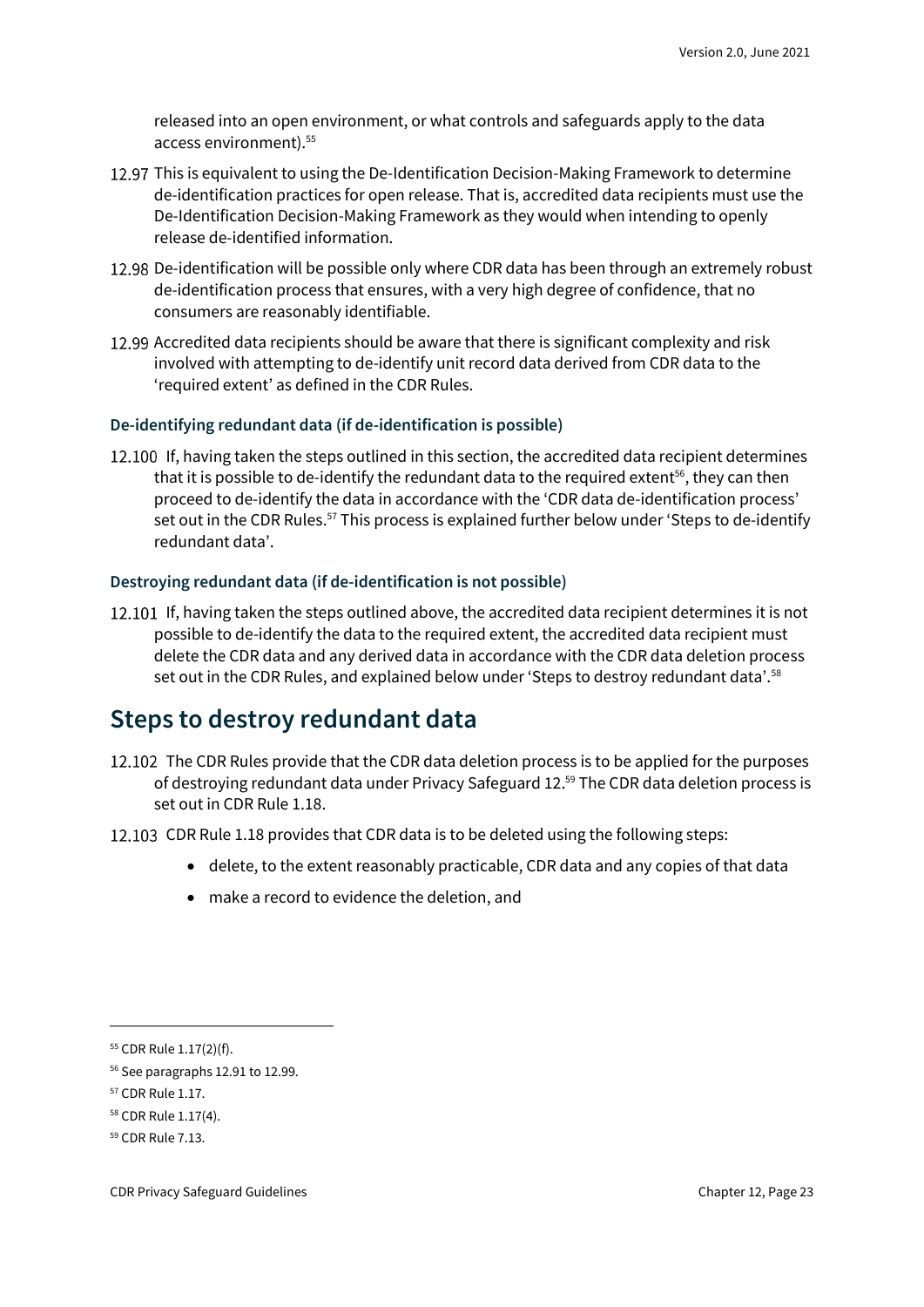released into an open environment, or what controls and safeguards apply to the data access environment).<sup>55</sup>

- 12.97 This is equivalent to using the De-Identification Decision-Making Framework to determine de-identification practices for open release. That is, accredited data recipients must use the De-Identification Decision-Making Framework as they would when intending to openly release de-identified information.
- 12.98 De-identification will be possible only where CDR data has been through an extremely robust de-identification process that ensures, with a very high degree of confidence, that no consumers are reasonably identifiable.
- 12.99 Accredited data recipients should be aware that there is significant complexity and risk involved with attempting to de-identify unit record data derived from CDR data to the 'required extent' as defined in the CDR Rules.

#### **De-identifying redundant data (if de-identification is possible)**

12.100 If, having taken the steps outlined in this section, the accredited data recipient determines that it is possible to de-identify the redundant data to the required extent<sup>56</sup>, they can then proceed to de-identify the data in accordance with the 'CDR data de-identification process' set out in the CDR Rules.<sup>57</sup> This process is explained further below under 'Steps to de-identify redundant data'.

#### **Destroying redundant data (if de-identification is not possible)**

12.101 If, having taken the steps outlined above, the accredited data recipient determines it is not possible to de-identify the data to the required extent, the accredited data recipient must delete the CDR data and any derived data in accordance with the CDR data deletion process set out in the CDR Rules, and explained below under 'Steps to destroy redundant data'.<sup>58</sup>

### <span id="page-22-0"></span>**Steps to destroy redundant data**

- 12.102 The CDR Rules provide that the CDR data deletion process is to be applied for the purposes of destroying redundant data under Privacy Safeguard 12. <sup>59</sup> The CDR data deletion process is set out in CDR Rule 1.18.
- 12.103 CDR Rule 1.18 provides that CDR data is to be deleted using the following steps:
	- delete, to the extent reasonably practicable, CDR data and any copies of that data
	- make a record to evidence the deletion, and

<sup>55</sup> CDR Rule 1.17(2)(f).

<sup>56</sup> See paragraphs 12.91 to 12.99.

<sup>57</sup> CDR Rule 1.17.

<sup>58</sup> CDR Rule 1.17(4).

<sup>59</sup> CDR Rule 7.13.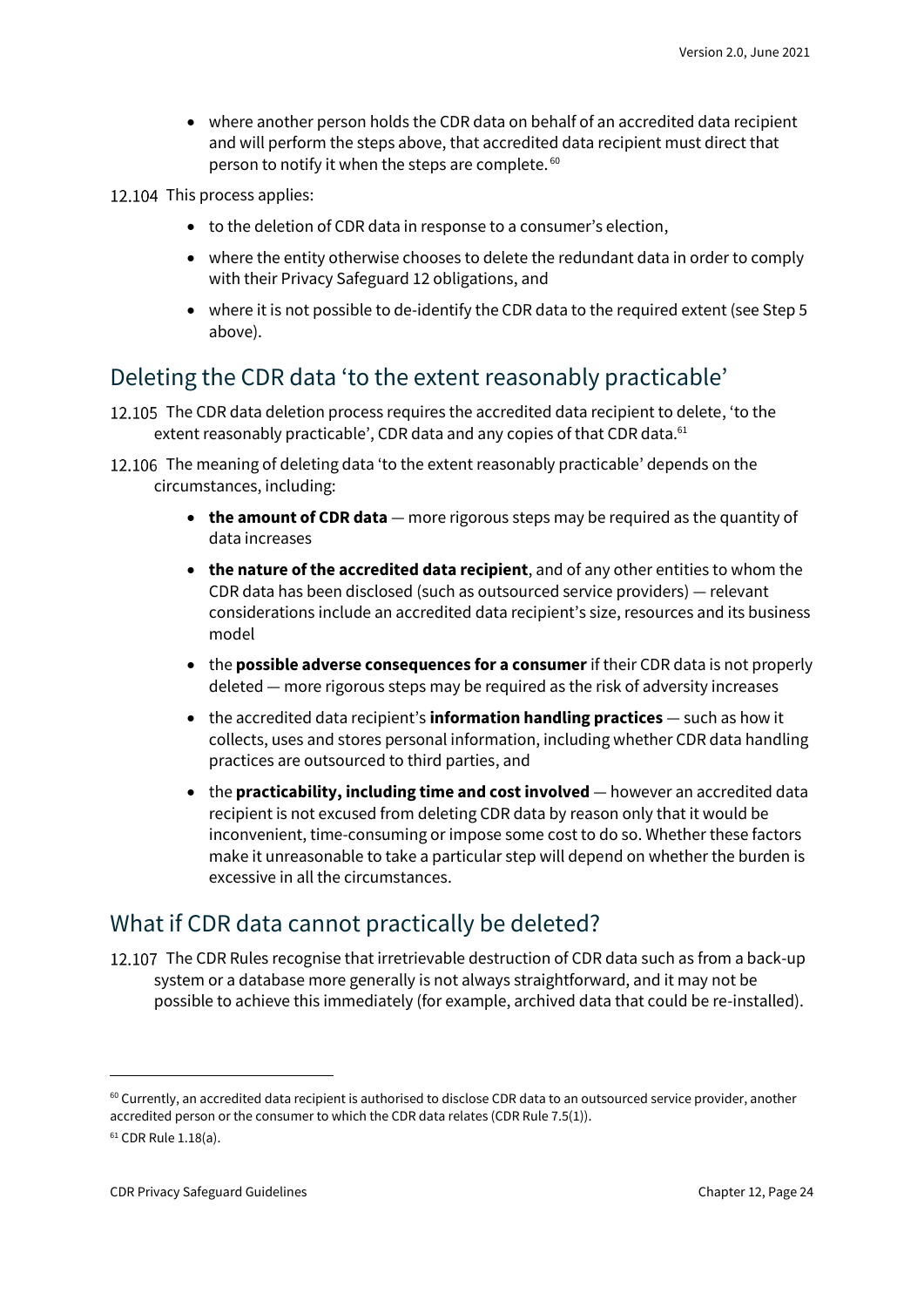• where another person holds the CDR data on behalf of an accredited data recipient and will perform the steps above, that accredited data recipient must direct that person to notify it when the steps are complete. <sup>60</sup>

12.104 This process applies:

- to the deletion of CDR data in response to a consumer's election,
- where the entity otherwise chooses to delete the redundant data in order to comply with their Privacy Safeguard 12 obligations, and
- where it is not possible to de-identify the CDR data to the required extent (see Step 5 above).

#### Deleting the CDR data 'to the extent reasonably practicable'

- 12.105 The CDR data deletion process requires the accredited data recipient to delete, 'to the extent reasonably practicable', CDR data and any copies of that CDR data.<sup>61</sup>
- 12.106 The meaning of deleting data 'to the extent reasonably practicable' depends on the circumstances, including:
	- **the amount of CDR data** more rigorous steps may be required as the quantity of data increases
	- **the nature of the accredited data recipient**, and of any other entities to whom the CDR data has been disclosed (such as outsourced service providers) — relevant considerations include an accredited data recipient's size, resources and its business model
	- the **possible adverse consequences for a consumer** if their CDR data is not properly deleted — more rigorous steps may be required as the risk of adversity increases
	- the accredited data recipient's **information handling practices** such as how it collects, uses and stores personal information, including whether CDR data handling practices are outsourced to third parties, and
	- the **practicability, including time and cost involved** however an accredited data recipient is not excused from deleting CDR data by reason only that it would be inconvenient, time-consuming or impose some cost to do so. Whether these factors make it unreasonable to take a particular step will depend on whether the burden is excessive in all the circumstances.

#### What if CDR data cannot practically be deleted?

12.107 The CDR Rules recognise that irretrievable destruction of CDR data such as from a back-up system or a database more generally is not always straightforward, and it may not be possible to achieve this immediately (for example, archived data that could be re-installed).

 $60$  Currently, an accredited data recipient is authorised to disclose CDR data to an outsourced service provider, another accredited person or the consumer to which the CDR data relates (CDR Rule 7.5(1)).

<sup>61</sup> CDR Rule 1.18(a).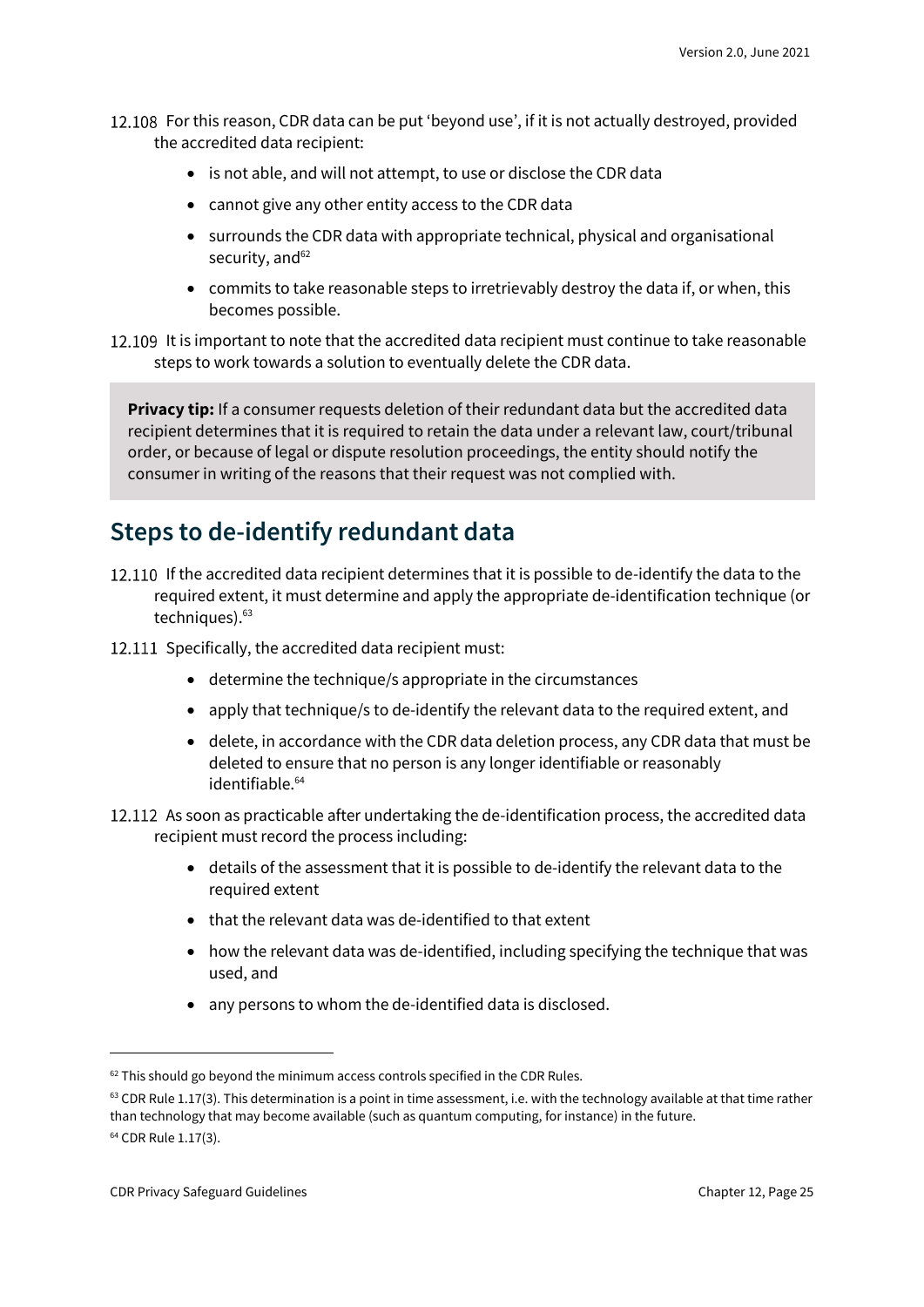- 12.108 For this reason, CDR data can be put 'beyond use', if it is not actually destroyed, provided the accredited data recipient:
	- is not able, and will not attempt, to use or disclose the CDR data
	- cannot give any other entity access to the CDR data
	- surrounds the CDR data with appropriate technical, physical and organisational security, and<sup>62</sup>
	- commits to take reasonable steps to irretrievably destroy the data if, or when, this becomes possible.
- 12.109 It is important to note that the accredited data recipient must continue to take reasonable steps to work towards a solution to eventually delete the CDR data.

**Privacy tip:** If a consumer requests deletion of their redundant data but the accredited data recipient determines that it is required to retain the data under a relevant law, court/tribunal order, or because of legal or dispute resolution proceedings, the entity should notify the consumer in writing of the reasons that their request was not complied with.

### <span id="page-24-0"></span>**Steps to de-identify redundant data**

- 12.110 If the accredited data recipient determines that it is possible to de-identify the data to the required extent, it must determine and apply the appropriate de-identification technique (or techniques). 63
- 12.111 Specifically, the accredited data recipient must:
	- determine the technique/s appropriate in the circumstances
	- apply that technique/s to de-identify the relevant data to the required extent, and
	- delete, in accordance with the CDR data deletion process, any CDR data that must be deleted to ensure that no person is any longer identifiable or reasonably identifiable.<sup>64</sup>
- 12.112 As soon as practicable after undertaking the de-identification process, the accredited data recipient must record the process including:
	- details of the assessment that it is possible to de-identify the relevant data to the required extent
	- that the relevant data was de-identified to that extent
	- how the relevant data was de-identified, including specifying the technique that was used, and
	- any persons to whom the de-identified data is disclosed.

 $62$  This should go beyond the minimum access controls specified in the CDR Rules.

 $63$  CDR Rule 1.17(3). This determination is a point in time assessment, i.e. with the technology available at that time rather than technology that may become available (such as quantum computing, for instance) in the future.

<sup>64</sup> CDR Rule 1.17(3).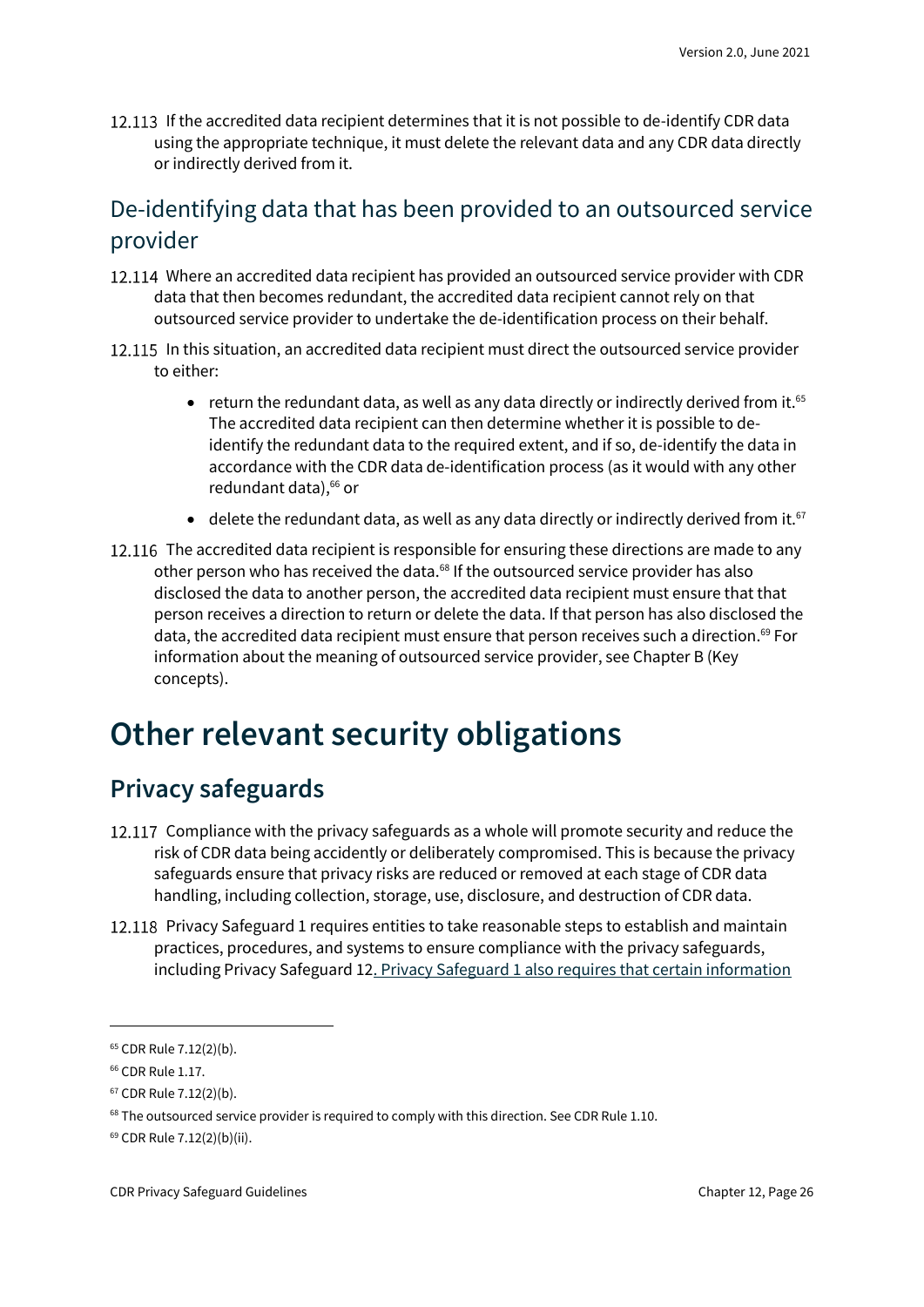12.113 If the accredited data recipient determines that it is not possible to de-identify CDR data using the appropriate technique, it must delete the relevant data and any CDR data directly or indirectly derived from it.

### De-identifying data that has been provided to an outsourced service provider

- 12.114 Where an accredited data recipient has provided an outsourced service provider with CDR data that then becomes redundant, the accredited data recipient cannot rely on that outsourced service provider to undertake the de-identification process on their behalf.
- 12.115 In this situation, an accredited data recipient must direct the outsourced service provider to either:
	- return the redundant data, as well as any data directly or indirectly derived from it.<sup>65</sup> The accredited data recipient can then determine whether it is possible to deidentify the redundant data to the required extent, and if so, de-identify the data in accordance with the CDR data de-identification process (as it would with any other redundant data), <sup>66</sup> or
	- delete the redundant data, as well as any data directly or indirectly derived from it.<sup>67</sup>
- 12.116 The accredited data recipient is responsible for ensuring these directions are made to any other person who has received the data.<sup>68</sup> If the outsourced service provider has also disclosed the data to another person, the accredited data recipient must ensure that that person receives a direction to return or delete the data. If that person has also disclosed the data, the accredited data recipient must ensure that person receives such a direction. <sup>69</sup> For information about the meaning of outsourced service provider, see Chapter B (Key concepts).

## <span id="page-25-0"></span>**Other relevant security obligations**

### <span id="page-25-1"></span>**Privacy safeguards**

- 12.117 Compliance with the privacy safeguards as a whole will promote security and reduce the risk of CDR data being accidently or deliberately compromised. This is because the privacy safeguards ensure that privacy risks are reduced or removed at each stage of CDR data handling, including collection, storage, use, disclosure, and destruction of CDR data.
- 12.118 Privacy Safeguard 1 requires entities to take reasonable steps to establish and maintain practices, procedures, and systems to ensure compliance with the privacy safeguards, including Privacy Safeguard 12. Privacy Safeguard 1 also requires that certain information

<sup>65</sup> CDR Rule 7.12(2)(b).

<sup>66</sup> CDR Rule 1.17.

<sup>67</sup> CDR Rule 7.12(2)(b).

<sup>&</sup>lt;sup>68</sup> The outsourced service provider is required to comply with this direction. See CDR Rule 1.10.

<sup>69</sup> CDR Rule 7.12(2)(b)(ii).